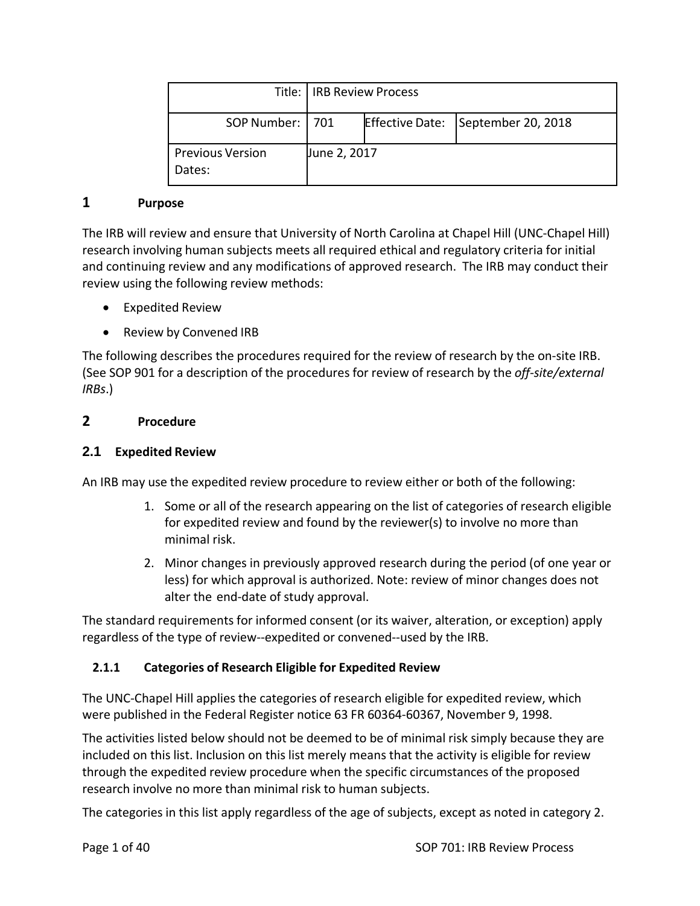|                                   | Title: IRB Review Process |  |                                    |
|-----------------------------------|---------------------------|--|------------------------------------|
| SOP Number:   701                 |                           |  | Effective Date: September 20, 2018 |
| <b>Previous Version</b><br>Dates: | June 2, 2017              |  |                                    |

#### **1 Purpose**

The IRB will review and ensure that University of North Carolina at Chapel Hill (UNC‐Chapel Hill) research involving human subjects meets all required ethical and regulatory criteria for initial and continuing review and any modifications of approved research. The IRB may conduct their review using the following review methods:

- Expedited Review
- Review by Convened IRB

The following describes the procedures required for the review of research by the on‐site IRB. (See SOP 901 for a description of the procedures for review of research by the *off‐site/external IRBs*.)

#### **2 Procedure**

#### **2.1 Expedited Review**

An IRB may use the expedited review procedure to review either or both of the following:

- 1. Some or all of the research appearing on the list of categories of research eligible for expedited review and found by the reviewer(s) to involve no more than minimal risk.
- 2. Minor changes in previously approved research during the period (of one year or less) for which approval is authorized. Note: review of minor changes does not alter the end‐date of study approval.

The standard requirements for informed consent (or its waiver, alteration, or exception) apply regardless of the type of review‐‐expedited or convened‐‐used by the IRB.

## **2.1.1 Categories of Research Eligible for Expedited Review**

The UNC‐Chapel Hill applies the categories of research eligible for expedited review, which were published in the Federal Register notice 63 FR 60364‐60367, November 9, 1998.

The activities listed below should not be deemed to be of minimal risk simply because they are included on this list. Inclusion on this list merely means that the activity is eligible for review through the expedited review procedure when the specific circumstances of the proposed research involve no more than minimal risk to human subjects.

The categories in this list apply regardless of the age of subjects, except as noted in category 2.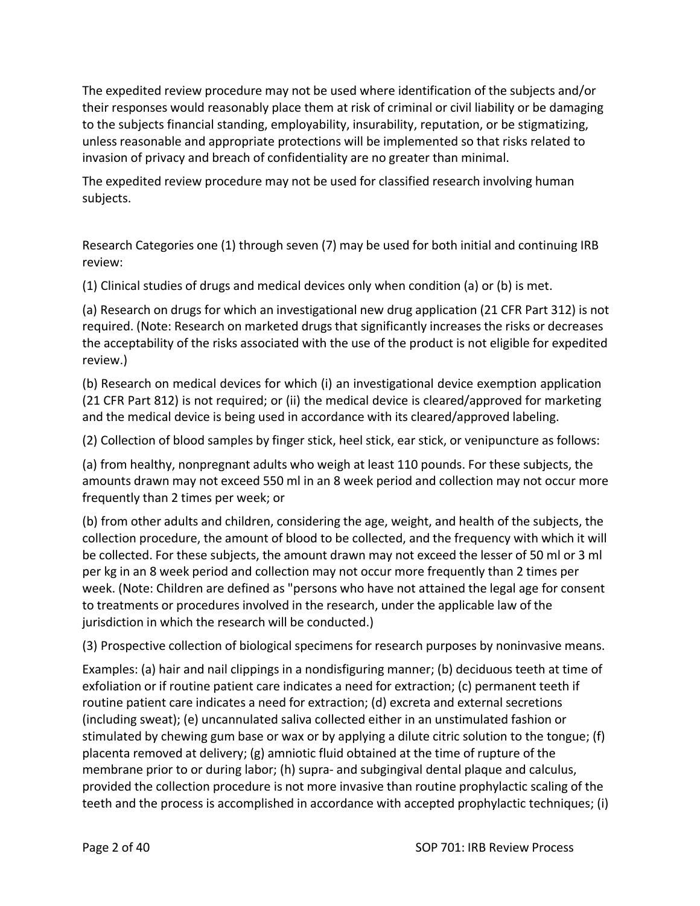The expedited review procedure may not be used where identification of the subjects and/or their responses would reasonably place them at risk of criminal or civil liability or be damaging to the subjects financial standing, employability, insurability, reputation, or be stigmatizing, unless reasonable and appropriate protections will be implemented so that risks related to invasion of privacy and breach of confidentiality are no greater than minimal.

The expedited review procedure may not be used for classified research involving human subjects.

Research Categories one (1) through seven (7) may be used for both initial and continuing IRB review:

(1) Clinical studies of drugs and medical devices only when condition (a) or (b) is met.

(a) Research on drugs for which an investigational new drug application (21 CFR Part 312) is not required. (Note: Research on marketed drugs that significantly increases the risks or decreases the acceptability of the risks associated with the use of the product is not eligible for expedited review.)

(b) Research on medical devices for which (i) an investigational device exemption application (21 CFR Part 812) is not required; or (ii) the medical device is cleared/approved for marketing and the medical device is being used in accordance with its cleared/approved labeling.

(2) Collection of blood samples by finger stick, heel stick, ear stick, or venipuncture as follows:

(a) from healthy, nonpregnant adults who weigh at least 110 pounds. For these subjects, the amounts drawn may not exceed 550 ml in an 8 week period and collection may not occur more frequently than 2 times per week; or

(b) from other adults and children, considering the age, weight, and health of the subjects, the collection procedure, the amount of blood to be collected, and the frequency with which it will be collected. For these subjects, the amount drawn may not exceed the lesser of 50 ml or 3 ml per kg in an 8 week period and collection may not occur more frequently than 2 times per week. (Note: Children are defined as "persons who have not attained the legal age for consent to treatments or procedures involved in the research, under the applicable law of the jurisdiction in which the research will be conducted.)

(3) Prospective collection of biological specimens for research purposes by noninvasive means.

Examples: (a) hair and nail clippings in a nondisfiguring manner; (b) deciduous teeth at time of exfoliation or if routine patient care indicates a need for extraction; (c) permanent teeth if routine patient care indicates a need for extraction; (d) excreta and external secretions (including sweat); (e) uncannulated saliva collected either in an unstimulated fashion or stimulated by chewing gum base or wax or by applying a dilute citric solution to the tongue; (f) placenta removed at delivery; (g) amniotic fluid obtained at the time of rupture of the membrane prior to or during labor; (h) supra- and subgingival dental plaque and calculus, provided the collection procedure is not more invasive than routine prophylactic scaling of the teeth and the process is accomplished in accordance with accepted prophylactic techniques; (i)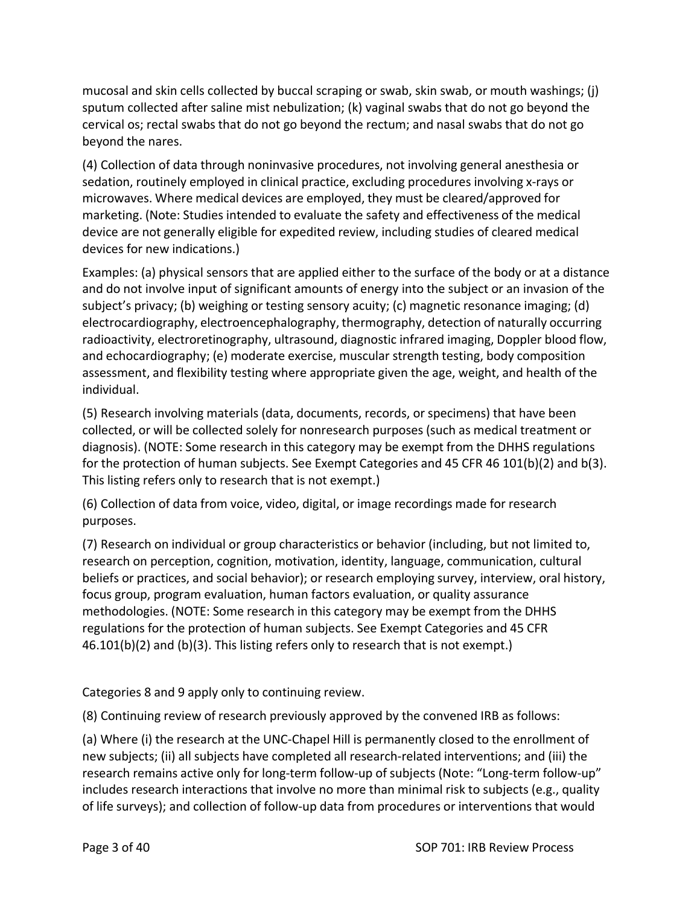mucosal and skin cells collected by buccal scraping or swab, skin swab, or mouth washings; (j) sputum collected after saline mist nebulization; (k) vaginal swabs that do not go beyond the cervical os; rectal swabs that do not go beyond the rectum; and nasal swabs that do not go beyond the nares.

(4) Collection of data through noninvasive procedures, not involving general anesthesia or sedation, routinely employed in clinical practice, excluding procedures involving x-rays or microwaves. Where medical devices are employed, they must be cleared/approved for marketing. (Note: Studies intended to evaluate the safety and effectiveness of the medical device are not generally eligible for expedited review, including studies of cleared medical devices for new indications.)

Examples: (a) physical sensors that are applied either to the surface of the body or at a distance and do not involve input of significant amounts of energy into the subject or an invasion of the subject's privacy; (b) weighing or testing sensory acuity; (c) magnetic resonance imaging; (d) electrocardiography, electroencephalography, thermography, detection of naturally occurring radioactivity, electroretinography, ultrasound, diagnostic infrared imaging, Doppler blood flow, and echocardiography; (e) moderate exercise, muscular strength testing, body composition assessment, and flexibility testing where appropriate given the age, weight, and health of the individual.

(5) Research involving materials (data, documents, records, or specimens) that have been collected, or will be collected solely for nonresearch purposes (such as medical treatment or diagnosis). (NOTE: Some research in this category may be exempt from the DHHS regulations for the protection of human subjects. See Exempt Categories and 45 CFR 46 101(b)(2) and b(3). This listing refers only to research that is not exempt.)

(6) Collection of data from voice, video, digital, or image recordings made for research purposes.

(7) Research on individual or group characteristics or behavior (including, but not limited to, research on perception, cognition, motivation, identity, language, communication, cultural beliefs or practices, and social behavior); or research employing survey, interview, oral history, focus group, program evaluation, human factors evaluation, or quality assurance methodologies. (NOTE: Some research in this category may be exempt from the DHHS regulations for the protection of human subjects. See Exempt Categories and 45 CFR 46.101(b)(2) and (b)(3). This listing refers only to research that is not exempt.)

Categories 8 and 9 apply only to continuing review.

(8) Continuing review of research previously approved by the convened IRB as follows:

(a) Where (i) the research at the UNC‐Chapel Hill is permanently closed to the enrollment of new subjects; (ii) all subjects have completed all research‐related interventions; and (iii) the research remains active only for long‐term follow‐up of subjects (Note: "Long‐term follow‐up" includes research interactions that involve no more than minimal risk to subjects (e.g., quality of life surveys); and collection of follow‐up data from procedures or interventions that would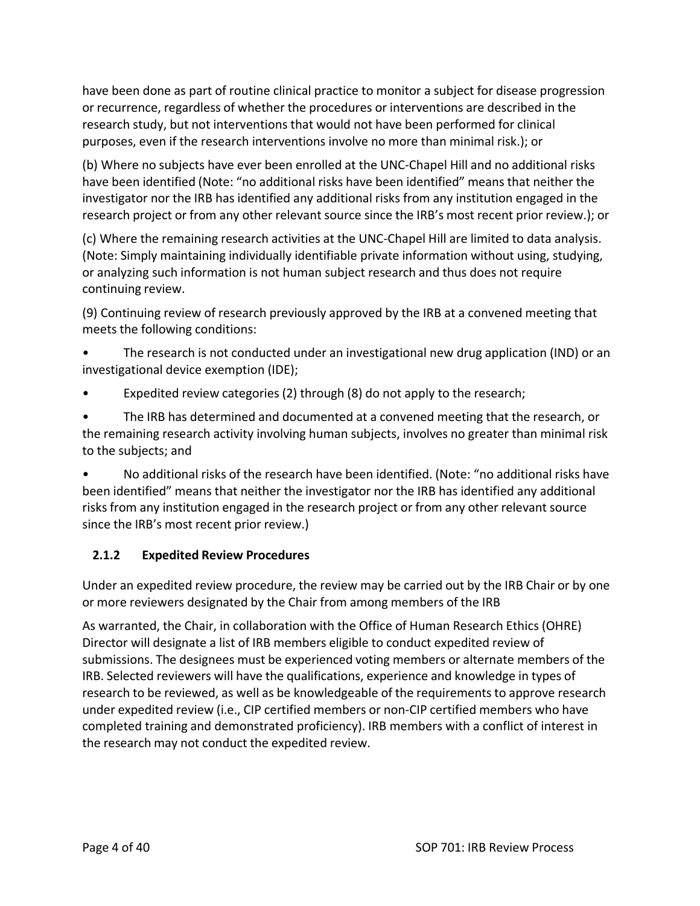have been done as part of routine clinical practice to monitor a subject for disease progression or recurrence, regardless of whether the procedures or interventions are described in the research study, but not interventions that would not have been performed for clinical purposes, even if the research interventions involve no more than minimal risk.); or

(b) Where no subjects have ever been enrolled at the UNC‐Chapel Hill and no additional risks have been identified (Note: "no additional risks have been identified" means that neither the investigator nor the IRB has identified any additional risks from any institution engaged in the research project or from any other relevant source since the IRB's most recent prior review.); or

(c) Where the remaining research activities at the UNC‐Chapel Hill are limited to data analysis. (Note: Simply maintaining individually identifiable private information without using, studying, or analyzing such information is not human subject research and thus does not require continuing review.

(9) Continuing review of research previously approved by the IRB at a convened meeting that meets the following conditions:

• The research is not conducted under an investigational new drug application (IND) or an investigational device exemption (IDE);

Expedited review categories (2) through (8) do not apply to the research;

• The IRB has determined and documented at a convened meeting that the research, or the remaining research activity involving human subjects, involves no greater than minimal risk to the subjects; and

• No additional risks of the research have been identified. (Note: "no additional risks have been identified" means that neither the investigator nor the IRB has identified any additional risks from any institution engaged in the research project or from any other relevant source since the IRB's most recent prior review.)

## **2.1.2 Expedited Review Procedures**

Under an expedited review procedure, the review may be carried out by the IRB Chair or by one or more reviewers designated by the Chair from among members of the IRB

As warranted, the Chair, in collaboration with the Office of Human Research Ethics (OHRE) Director will designate a list of IRB members eligible to conduct expedited review of submissions. The designees must be experienced voting members or alternate members of the IRB. Selected reviewers will have the qualifications, experience and knowledge in types of research to be reviewed, as well as be knowledgeable of the requirements to approve research under expedited review (i.e., CIP certified members or non‐CIP certified members who have completed training and demonstrated proficiency). IRB members with a conflict of interest in the research may not conduct the expedited review.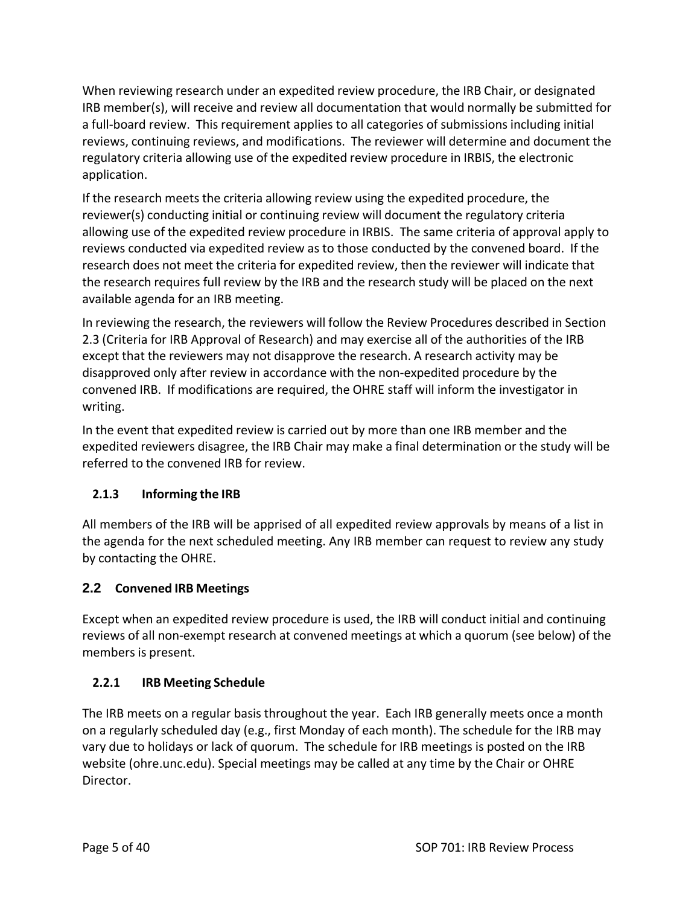When reviewing research under an expedited review procedure, the IRB Chair, or designated IRB member(s), will receive and review all documentation that would normally be submitted for a full‐board review. This requirement applies to all categories of submissions including initial reviews, continuing reviews, and modifications. The reviewer will determine and document the regulatory criteria allowing use of the expedited review procedure in IRBIS, the electronic application.

If the research meets the criteria allowing review using the expedited procedure, the reviewer(s) conducting initial or continuing review will document the regulatory criteria allowing use of the expedited review procedure in IRBIS. The same criteria of approval apply to reviews conducted via expedited review as to those conducted by the convened board. If the research does not meet the criteria for expedited review, then the reviewer will indicate that the research requires full review by the IRB and the research study will be placed on the next available agenda for an IRB meeting.

In reviewing the research, the reviewers will follow the Review Procedures described in Section 2.3 (Criteria for IRB Approval of Research) and may exercise all of the authorities of the IRB except that the reviewers may not disapprove the research. A research activity may be disapproved only after review in accordance with the non‐expedited procedure by the convened IRB. If modifications are required, the OHRE staff will inform the investigator in writing.

In the event that expedited review is carried out by more than one IRB member and the expedited reviewers disagree, the IRB Chair may make a final determination or the study will be referred to the convened IRB for review.

# **2.1.3 Informing the IRB**

All members of the IRB will be apprised of all expedited review approvals by means of a list in the agenda for the next scheduled meeting. Any IRB member can request to review any study by contacting the OHRE.

## **2.2 Convened IRB Meetings**

Except when an expedited review procedure is used, the IRB will conduct initial and continuing reviews of all non‐exempt research at convened meetings at which a quorum (see below) of the members is present.

## **2.2.1 IRB Meeting Schedule**

The IRB meets on a regular basis throughout the year. Each IRB generally meets once a month on a regularly scheduled day (e.g., first Monday of each month). The schedule for the IRB may vary due to holidays or lack of quorum. The schedule for IRB meetings is posted on the IRB website (ohre.unc.edu). Special meetings may be called at any time by the Chair or OHRE Director.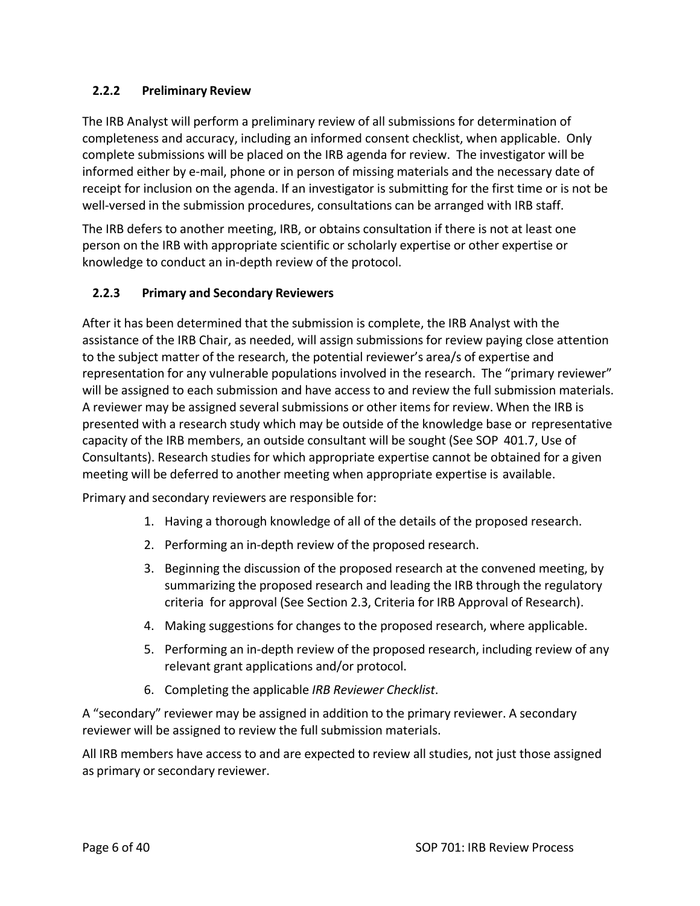#### **2.2.2 Preliminary Review**

The IRB Analyst will perform a preliminary review of all submissions for determination of completeness and accuracy, including an informed consent checklist, when applicable. Only complete submissions will be placed on the IRB agenda for review. The investigator will be informed either by e‐mail, phone or in person of missing materials and the necessary date of receipt for inclusion on the agenda. If an investigator is submitting for the first time or is not be well-versed in the submission procedures, consultations can be arranged with IRB staff.

The IRB defers to another meeting, IRB, or obtains consultation if there is not at least one person on the IRB with appropriate scientific or scholarly expertise or other expertise or knowledge to conduct an in‐depth review of the protocol.

#### **2.2.3 Primary and Secondary Reviewers**

After it has been determined that the submission is complete, the IRB Analyst with the assistance of the IRB Chair, as needed, will assign submissions for review paying close attention to the subject matter of the research, the potential reviewer's area/s of expertise and representation for any vulnerable populations involved in the research. The "primary reviewer" will be assigned to each submission and have access to and review the full submission materials. A reviewer may be assigned several submissions or other items for review. When the IRB is presented with a research study which may be outside of the knowledge base or representative capacity of the IRB members, an outside consultant will be sought (See SOP 401.7, Use of Consultants). Research studies for which appropriate expertise cannot be obtained for a given meeting will be deferred to another meeting when appropriate expertise is available.

Primary and secondary reviewers are responsible for:

- 1. Having a thorough knowledge of all of the details of the proposed research.
- 2. Performing an in‐depth review of the proposed research.
- 3. Beginning the discussion of the proposed research at the convened meeting, by summarizing the proposed research and leading the IRB through the regulatory criteria for approval (See Section 2.3, Criteria for IRB Approval of Research).
- 4. Making suggestions for changes to the proposed research, where applicable.
- 5. Performing an in‐depth review of the proposed research, including review of any relevant grant applications and/or protocol.
- 6. Completing the applicable *IRB Reviewer Checklist*.

A "secondary" reviewer may be assigned in addition to the primary reviewer. A secondary reviewer will be assigned to review the full submission materials.

All IRB members have access to and are expected to review all studies, not just those assigned as primary or secondary reviewer.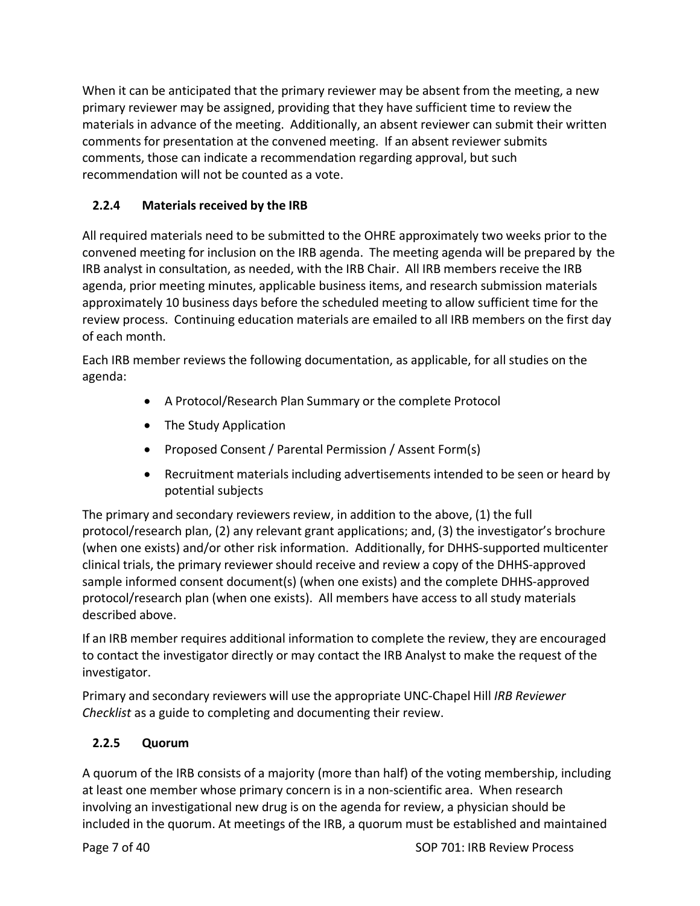When it can be anticipated that the primary reviewer may be absent from the meeting, a new primary reviewer may be assigned, providing that they have sufficient time to review the materials in advance of the meeting. Additionally, an absent reviewer can submit their written comments for presentation at the convened meeting. If an absent reviewer submits comments, those can indicate a recommendation regarding approval, but such recommendation will not be counted as a vote.

# **2.2.4 Materials received by the IRB**

All required materials need to be submitted to the OHRE approximately two weeks prior to the convened meeting for inclusion on the IRB agenda. The meeting agenda will be prepared by the IRB analyst in consultation, as needed, with the IRB Chair. All IRB members receive the IRB agenda, prior meeting minutes, applicable business items, and research submission materials approximately 10 business days before the scheduled meeting to allow sufficient time for the review process. Continuing education materials are emailed to all IRB members on the first day of each month.

Each IRB member reviews the following documentation, as applicable, for all studies on the agenda:

- A Protocol/Research Plan Summary or the complete Protocol
- The Study Application
- Proposed Consent / Parental Permission / Assent Form(s)
- Recruitment materials including advertisements intended to be seen or heard by potential subjects

The primary and secondary reviewers review, in addition to the above, (1) the full protocol/research plan, (2) any relevant grant applications; and, (3) the investigator's brochure (when one exists) and/or other risk information. Additionally, for DHHS‐supported multicenter clinical trials, the primary reviewer should receive and review a copy of the DHHS‐approved sample informed consent document(s) (when one exists) and the complete DHHS-approved protocol/research plan (when one exists). All members have access to all study materials described above.

If an IRB member requires additional information to complete the review, they are encouraged to contact the investigator directly or may contact the IRB Analyst to make the request of the investigator.

Primary and secondary reviewers will use the appropriate UNC‐Chapel Hill *IRB Reviewer Checklist* as a guide to completing and documenting their review.

# **2.2.5 Quorum**

A quorum of the IRB consists of a majority (more than half) of the voting membership, including at least one member whose primary concern is in a non‐scientific area. When research involving an investigational new drug is on the agenda for review, a physician should be included in the quorum. At meetings of the IRB, a quorum must be established and maintained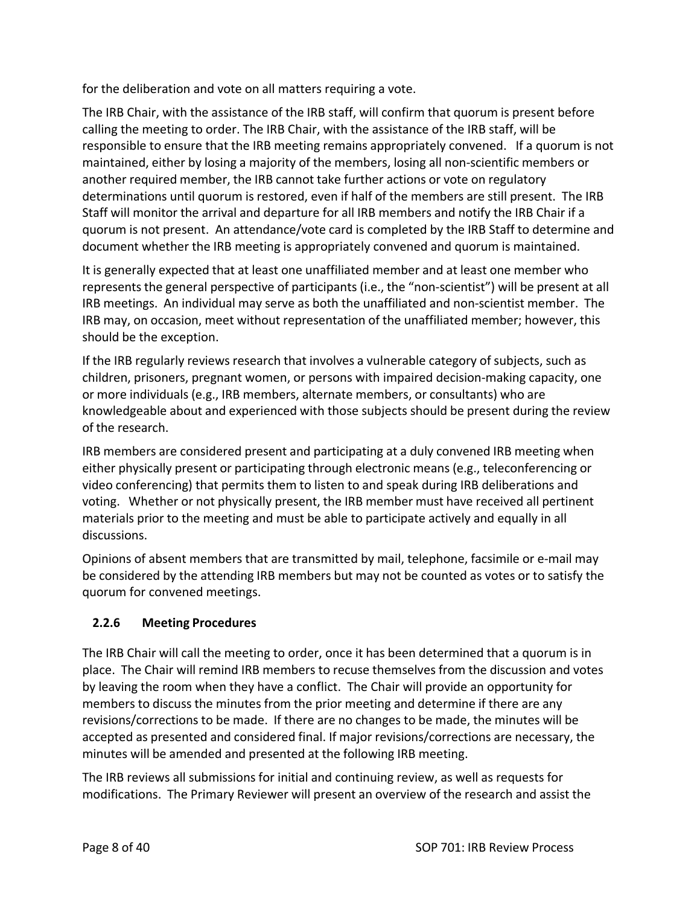for the deliberation and vote on all matters requiring a vote.

The IRB Chair, with the assistance of the IRB staff, will confirm that quorum is present before calling the meeting to order. The IRB Chair, with the assistance of the IRB staff, will be responsible to ensure that the IRB meeting remains appropriately convened. If a quorum is not maintained, either by losing a majority of the members, losing all non‐scientific members or another required member, the IRB cannot take further actions or vote on regulatory determinations until quorum is restored, even if half of the members are still present. The IRB Staff will monitor the arrival and departure for all IRB members and notify the IRB Chair if a quorum is not present. An attendance/vote card is completed by the IRB Staff to determine and document whether the IRB meeting is appropriately convened and quorum is maintained.

It is generally expected that at least one unaffiliated member and at least one member who represents the general perspective of participants (i.e., the "non‐scientist") will be present at all IRB meetings. An individual may serve as both the unaffiliated and non‐scientist member. The IRB may, on occasion, meet without representation of the unaffiliated member; however, this should be the exception.

If the IRB regularly reviews research that involves a vulnerable category of subjects, such as children, prisoners, pregnant women, or persons with impaired decision‐making capacity, one or more individuals (e.g., IRB members, alternate members, or consultants) who are knowledgeable about and experienced with those subjects should be present during the review of the research.

IRB members are considered present and participating at a duly convened IRB meeting when either physically present or participating through electronic means (e.g., teleconferencing or video conferencing) that permits them to listen to and speak during IRB deliberations and voting. Whether or not physically present, the IRB member must have received all pertinent materials prior to the meeting and must be able to participate actively and equally in all discussions.

Opinions of absent members that are transmitted by mail, telephone, facsimile or e‐mail may be considered by the attending IRB members but may not be counted as votes or to satisfy the quorum for convened meetings.

# **2.2.6 Meeting Procedures**

The IRB Chair will call the meeting to order, once it has been determined that a quorum is in place. The Chair will remind IRB members to recuse themselves from the discussion and votes by leaving the room when they have a conflict. The Chair will provide an opportunity for members to discuss the minutes from the prior meeting and determine if there are any revisions/corrections to be made. If there are no changes to be made, the minutes will be accepted as presented and considered final. If major revisions/corrections are necessary, the minutes will be amended and presented at the following IRB meeting.

The IRB reviews all submissions for initial and continuing review, as well as requests for modifications. The Primary Reviewer will present an overview of the research and assist the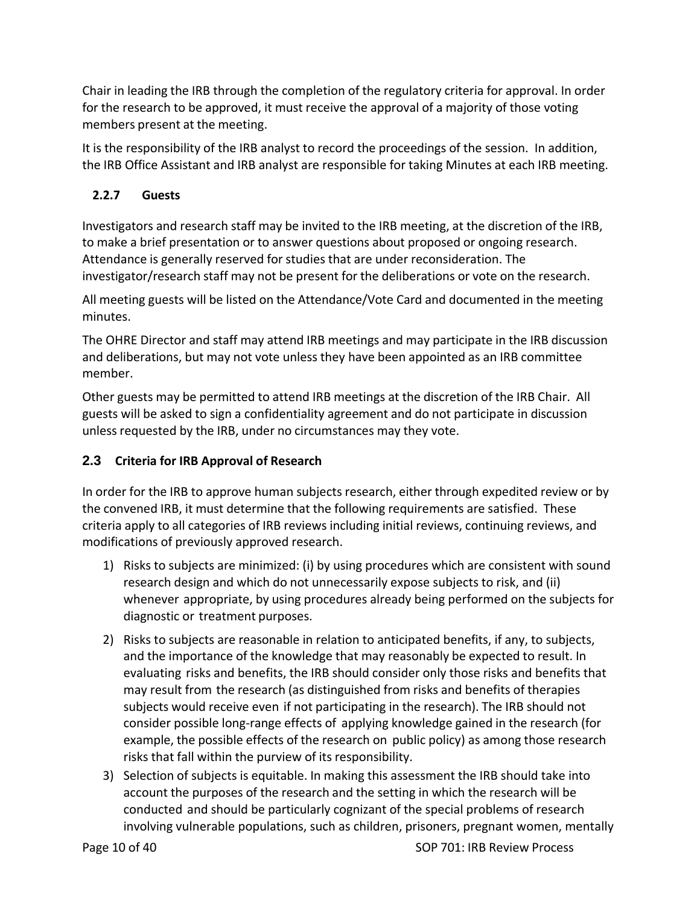Chair in leading the IRB through the completion of the regulatory criteria for approval. In order for the research to be approved, it must receive the approval of a majority of those voting members present at the meeting.

It is the responsibility of the IRB analyst to record the proceedings of the session. In addition, the IRB Office Assistant and IRB analyst are responsible for taking Minutes at each IRB meeting.

## **2.2.7 Guests**

Investigators and research staff may be invited to the IRB meeting, at the discretion of the IRB, to make a brief presentation or to answer questions about proposed or ongoing research. Attendance is generally reserved for studies that are under reconsideration. The investigator/research staff may not be present for the deliberations or vote on the research.

All meeting guests will be listed on the Attendance/Vote Card and documented in the meeting minutes.

The OHRE Director and staff may attend IRB meetings and may participate in the IRB discussion and deliberations, but may not vote unless they have been appointed as an IRB committee member.

Other guests may be permitted to attend IRB meetings at the discretion of the IRB Chair. All guests will be asked to sign a confidentiality agreement and do not participate in discussion unless requested by the IRB, under no circumstances may they vote.

## **2.3 Criteria for IRB Approval of Research**

In order for the IRB to approve human subjects research, either through expedited review or by the convened IRB, it must determine that the following requirements are satisfied. These criteria apply to all categories of IRB reviews including initial reviews, continuing reviews, and modifications of previously approved research.

- 1) Risks to subjects are minimized: (i) by using procedures which are consistent with sound research design and which do not unnecessarily expose subjects to risk, and (ii) whenever appropriate, by using procedures already being performed on the subjects for diagnostic or treatment purposes.
- 2) Risks to subjects are reasonable in relation to anticipated benefits, if any, to subjects, and the importance of the knowledge that may reasonably be expected to result. In evaluating risks and benefits, the IRB should consider only those risks and benefits that may result from the research (as distinguished from risks and benefits of therapies subjects would receive even if not participating in the research). The IRB should not consider possible long‐range effects of applying knowledge gained in the research (for example, the possible effects of the research on public policy) as among those research risks that fall within the purview of its responsibility.
- 3) Selection of subjects is equitable. In making this assessment the IRB should take into account the purposes of the research and the setting in which the research will be conducted and should be particularly cognizant of the special problems of research involving vulnerable populations, such as children, prisoners, pregnant women, mentally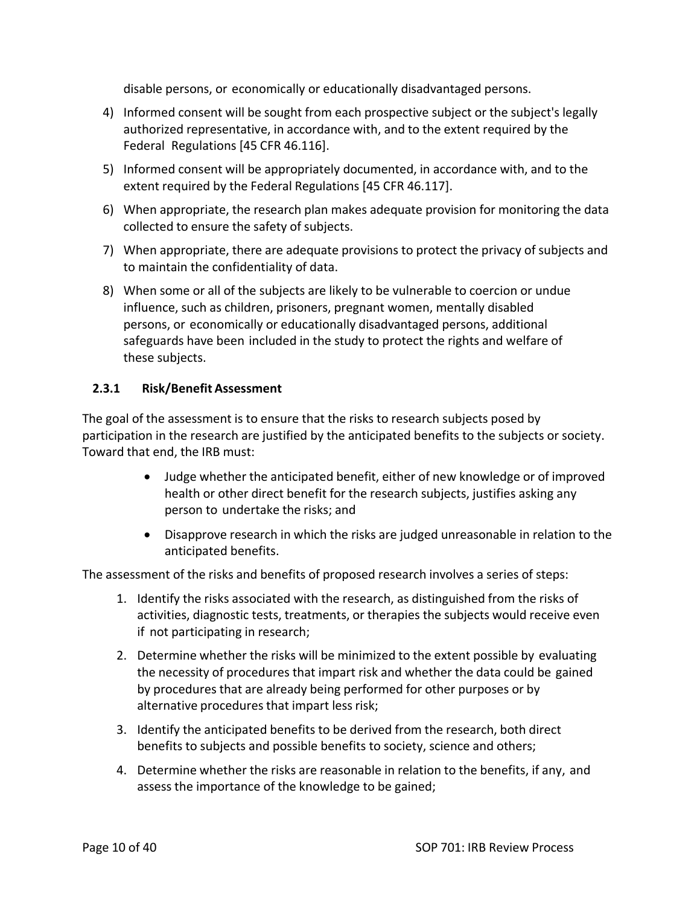disable persons, or economically or educationally disadvantaged persons.

- 4) Informed consent will be sought from each prospective subject or the subject's legally authorized representative, in accordance with, and to the extent required by the Federal Regulations [45 CFR 46.116].
- 5) Informed consent will be appropriately documented, in accordance with, and to the extent required by the Federal Regulations [45 CFR 46.117].
- 6) When appropriate, the research plan makes adequate provision for monitoring the data collected to ensure the safety of subjects.
- 7) When appropriate, there are adequate provisions to protect the privacy of subjects and to maintain the confidentiality of data.
- 8) When some or all of the subjects are likely to be vulnerable to coercion or undue influence, such as children, prisoners, pregnant women, mentally disabled persons, or economically or educationally disadvantaged persons, additional safeguards have been included in the study to protect the rights and welfare of these subjects.

#### **2.3.1 Risk/Benefit Assessment**

The goal of the assessment is to ensure that the risks to research subjects posed by participation in the research are justified by the anticipated benefits to the subjects or society. Toward that end, the IRB must:

- Judge whether the anticipated benefit, either of new knowledge or of improved health or other direct benefit for the research subjects, justifies asking any person to undertake the risks; and
- Disapprove research in which the risks are judged unreasonable in relation to the anticipated benefits.

The assessment of the risks and benefits of proposed research involves a series of steps:

- 1. Identify the risks associated with the research, as distinguished from the risks of activities, diagnostic tests, treatments, or therapies the subjects would receive even if not participating in research;
- 2. Determine whether the risks will be minimized to the extent possible by evaluating the necessity of procedures that impart risk and whether the data could be gained by procedures that are already being performed for other purposes or by alternative procedures that impart less risk;
- 3. Identify the anticipated benefits to be derived from the research, both direct benefits to subjects and possible benefits to society, science and others;
- 4. Determine whether the risks are reasonable in relation to the benefits, if any, and assess the importance of the knowledge to be gained;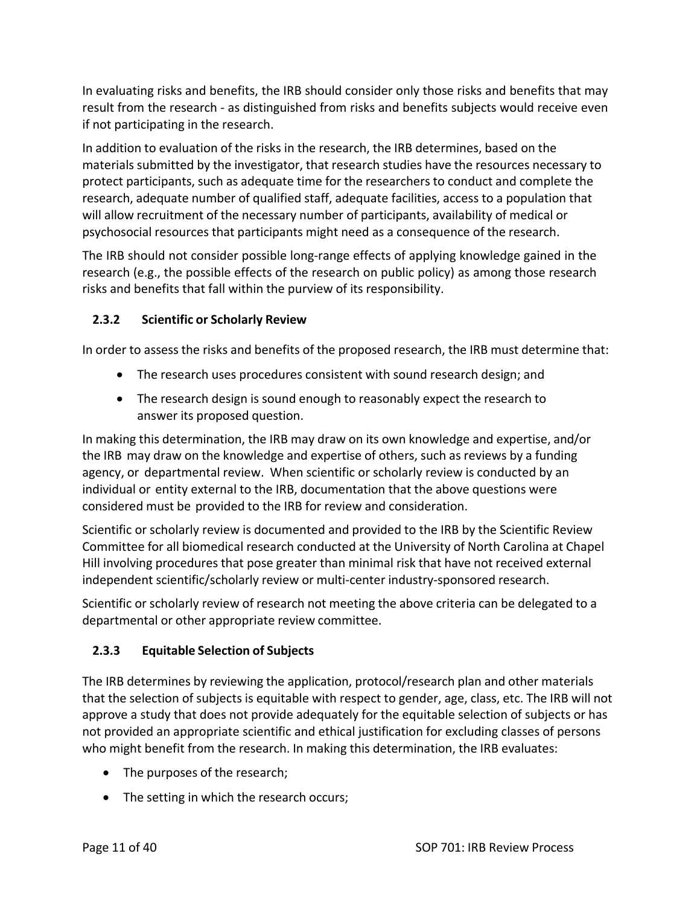In evaluating risks and benefits, the IRB should consider only those risks and benefits that may result from the research ‐ as distinguished from risks and benefits subjects would receive even if not participating in the research.

In addition to evaluation of the risks in the research, the IRB determines, based on the materials submitted by the investigator, that research studies have the resources necessary to protect participants, such as adequate time for the researchers to conduct and complete the research, adequate number of qualified staff, adequate facilities, access to a population that will allow recruitment of the necessary number of participants, availability of medical or psychosocial resources that participants might need as a consequence of the research.

The IRB should not consider possible long‐range effects of applying knowledge gained in the research (e.g., the possible effects of the research on public policy) as among those research risks and benefits that fall within the purview of its responsibility.

## **2.3.2 Scientific or Scholarly Review**

In order to assess the risks and benefits of the proposed research, the IRB must determine that:

- The research uses procedures consistent with sound research design; and
- The research design is sound enough to reasonably expect the research to answer its proposed question.

In making this determination, the IRB may draw on its own knowledge and expertise, and/or the IRB may draw on the knowledge and expertise of others, such as reviews by a funding agency, or departmental review. When scientific or scholarly review is conducted by an individual or entity external to the IRB, documentation that the above questions were considered must be provided to the IRB for review and consideration.

Scientific or scholarly review is documented and provided to the IRB by the Scientific Review Committee for all biomedical research conducted at the University of North Carolina at Chapel Hill involving procedures that pose greater than minimal risk that have not received external independent scientific/scholarly review or multi‐center industry‐sponsored research.

Scientific or scholarly review of research not meeting the above criteria can be delegated to a departmental or other appropriate review committee.

# **2.3.3 Equitable Selection of Subjects**

The IRB determines by reviewing the application, protocol/research plan and other materials that the selection of subjects is equitable with respect to gender, age, class, etc. The IRB will not approve a study that does not provide adequately for the equitable selection of subjects or has not provided an appropriate scientific and ethical justification for excluding classes of persons who might benefit from the research. In making this determination, the IRB evaluates:

- The purposes of the research;
- The setting in which the research occurs;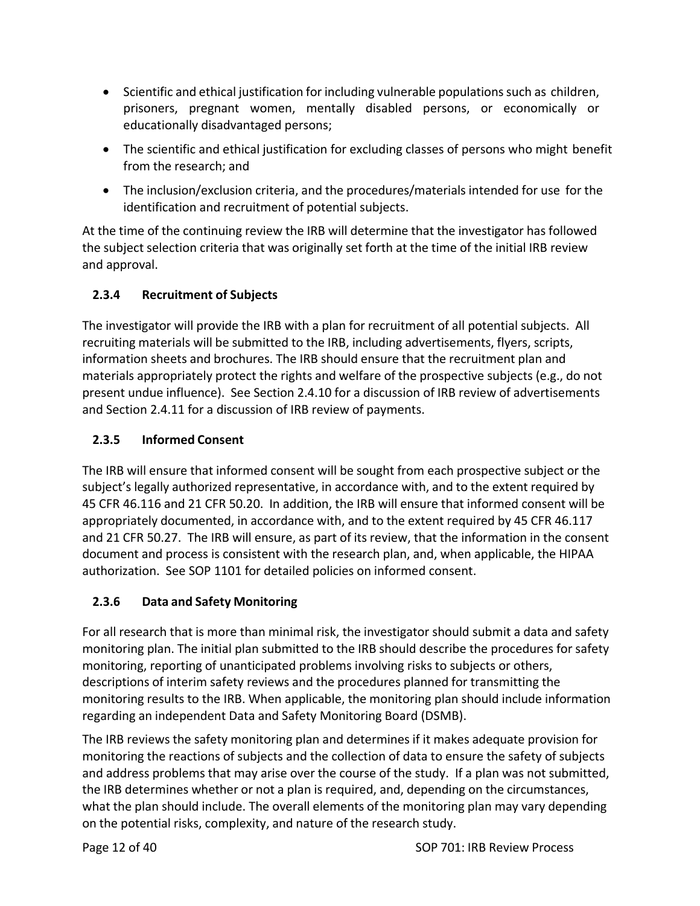- Scientific and ethical justification for including vulnerable populations such as children, prisoners, pregnant women, mentally disabled persons, or economically or educationally disadvantaged persons;
- The scientific and ethical justification for excluding classes of persons who might benefit from the research; and
- The inclusion/exclusion criteria, and the procedures/materials intended for use for the identification and recruitment of potential subjects.

At the time of the continuing review the IRB will determine that the investigator has followed the subject selection criteria that was originally set forth at the time of the initial IRB review and approval.

# **2.3.4 Recruitment of Subjects**

The investigator will provide the IRB with a plan for recruitment of all potential subjects. All recruiting materials will be submitted to the IRB, including advertisements, flyers, scripts, information sheets and brochures. The IRB should ensure that the recruitment plan and materials appropriately protect the rights and welfare of the prospective subjects (e.g., do not present undue influence). See Section 2.4.10 for a discussion of IRB review of advertisements and Section 2.4.11 for a discussion of IRB review of payments.

## **2.3.5 Informed Consent**

The IRB will ensure that informed consent will be sought from each prospective subject or the subject's legally authorized representative, in accordance with, and to the extent required by 45 CFR 46.116 and 21 CFR 50.20. In addition, the IRB will ensure that informed consent will be appropriately documented, in accordance with, and to the extent required by 45 CFR 46.117 and 21 CFR 50.27. The IRB will ensure, as part of its review, that the information in the consent document and process is consistent with the research plan, and, when applicable, the HIPAA authorization. See SOP 1101 for detailed policies on informed consent.

# **2.3.6 Data and Safety Monitoring**

For all research that is more than minimal risk, the investigator should submit a data and safety monitoring plan. The initial plan submitted to the IRB should describe the procedures for safety monitoring, reporting of unanticipated problems involving risks to subjects or others, descriptions of interim safety reviews and the procedures planned for transmitting the monitoring results to the IRB. When applicable, the monitoring plan should include information regarding an independent Data and Safety Monitoring Board (DSMB).

The IRB reviews the safety monitoring plan and determines if it makes adequate provision for monitoring the reactions of subjects and the collection of data to ensure the safety of subjects and address problems that may arise over the course of the study. If a plan was not submitted, the IRB determines whether or not a plan is required, and, depending on the circumstances, what the plan should include. The overall elements of the monitoring plan may vary depending on the potential risks, complexity, and nature of the research study.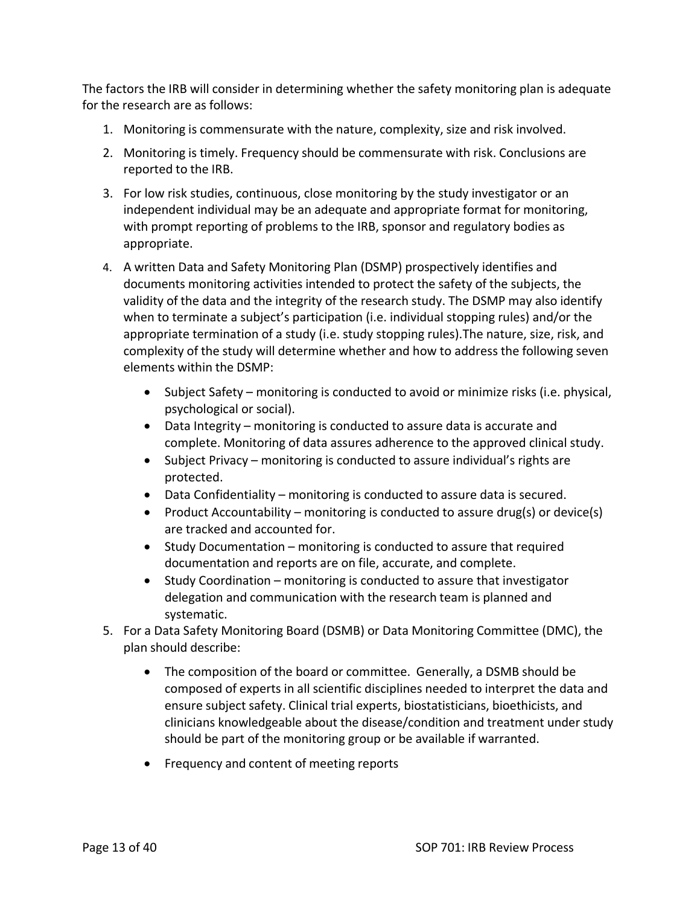The factors the IRB will consider in determining whether the safety monitoring plan is adequate for the research are as follows:

- 1. Monitoring is commensurate with the nature, complexity, size and risk involved.
- 2. Monitoring is timely. Frequency should be commensurate with risk. Conclusions are reported to the IRB.
- 3. For low risk studies, continuous, close monitoring by the study investigator or an independent individual may be an adequate and appropriate format for monitoring, with prompt reporting of problems to the IRB, sponsor and regulatory bodies as appropriate.
- 4. A written Data and Safety Monitoring Plan (DSMP) prospectively identifies and documents monitoring activities intended to protect the safety of the subjects, the validity of the data and the integrity of the research study. The DSMP may also identify when to terminate a subject's participation (i.e. individual stopping rules) and/or the appropriate termination of a study (i.e. study stopping rules).The nature, size, risk, and complexity of the study will determine whether and how to address the following seven elements within the DSMP:
	- Subject Safety monitoring is conducted to avoid or minimize risks (i.e. physical, psychological or social).
	- Data Integrity monitoring is conducted to assure data is accurate and complete. Monitoring of data assures adherence to the approved clinical study.
	- Subject Privacy monitoring is conducted to assure individual's rights are protected.
	- Data Confidentiality monitoring is conducted to assure data is secured.
	- Product Accountability monitoring is conducted to assure drug(s) or device(s) are tracked and accounted for.
	- Study Documentation monitoring is conducted to assure that required documentation and reports are on file, accurate, and complete.
	- Study Coordination monitoring is conducted to assure that investigator delegation and communication with the research team is planned and systematic.
- 5. For a Data Safety Monitoring Board (DSMB) or Data Monitoring Committee (DMC), the plan should describe:
	- The composition of the board or committee. Generally, a DSMB should be composed of experts in all scientific disciplines needed to interpret the data and ensure subject safety. Clinical trial experts, biostatisticians, bioethicists, and clinicians knowledgeable about the disease/condition and treatment under study should be part of the monitoring group or be available if warranted.
	- Frequency and content of meeting reports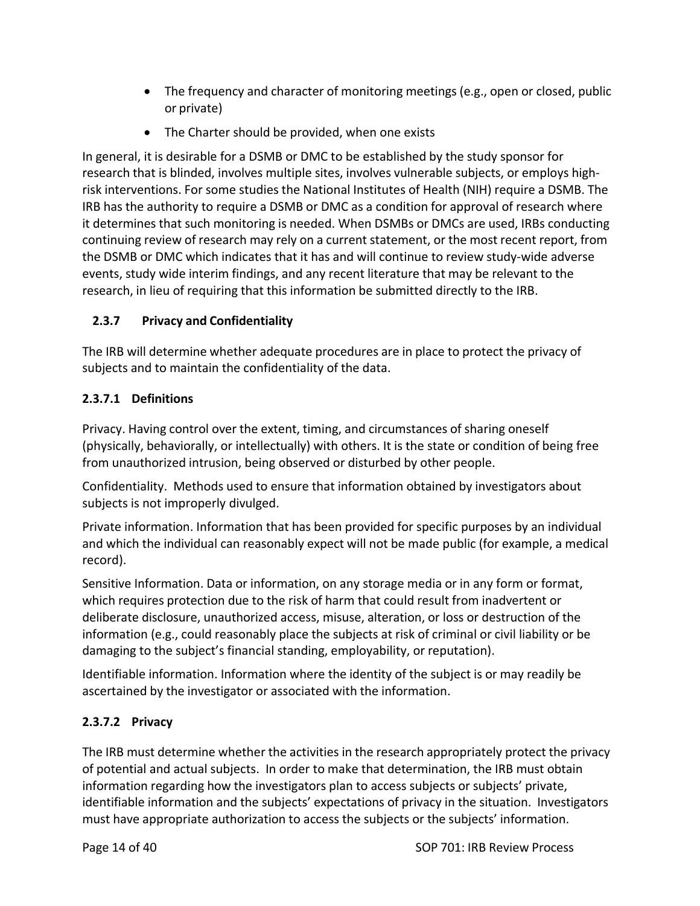- The frequency and character of monitoring meetings (e.g., open or closed, public or private)
- The Charter should be provided, when one exists

In general, it is desirable for a DSMB or DMC to be established by the study sponsor for research that is blinded, involves multiple sites, involves vulnerable subjects, or employs high‐ risk interventions. For some studies the National Institutes of Health (NIH) require a DSMB. The IRB has the authority to require a DSMB or DMC as a condition for approval of research where it determines that such monitoring is needed. When DSMBs or DMCs are used, IRBs conducting continuing review of research may rely on a current statement, or the most recent report, from the DSMB or DMC which indicates that it has and will continue to review study-wide adverse events, study wide interim findings, and any recent literature that may be relevant to the research, in lieu of requiring that this information be submitted directly to the IRB.

## **2.3.7 Privacy and Confidentiality**

The IRB will determine whether adequate procedures are in place to protect the privacy of subjects and to maintain the confidentiality of the data.

## **2.3.7.1 Definitions**

Privacy. Having control over the extent, timing, and circumstances of sharing oneself (physically, behaviorally, or intellectually) with others. It is the state or condition of being free from unauthorized intrusion, being observed or disturbed by other people.

Confidentiality. Methods used to ensure that information obtained by investigators about subjects is not improperly divulged.

Private information. Information that has been provided for specific purposes by an individual and which the individual can reasonably expect will not be made public (for example, a medical record).

Sensitive Information. Data or information, on any storage media or in any form or format, which requires protection due to the risk of harm that could result from inadvertent or deliberate disclosure, unauthorized access, misuse, alteration, or loss or destruction of the information (e.g., could reasonably place the subjects at risk of criminal or civil liability or be damaging to the subject's financial standing, employability, or reputation).

Identifiable information. Information where the identity of the subject is or may readily be ascertained by the investigator or associated with the information.

## **2.3.7.2 Privacy**

The IRB must determine whether the activities in the research appropriately protect the privacy of potential and actual subjects. In order to make that determination, the IRB must obtain information regarding how the investigators plan to access subjects or subjects' private, identifiable information and the subjects' expectations of privacy in the situation. Investigators must have appropriate authorization to access the subjects or the subjects' information.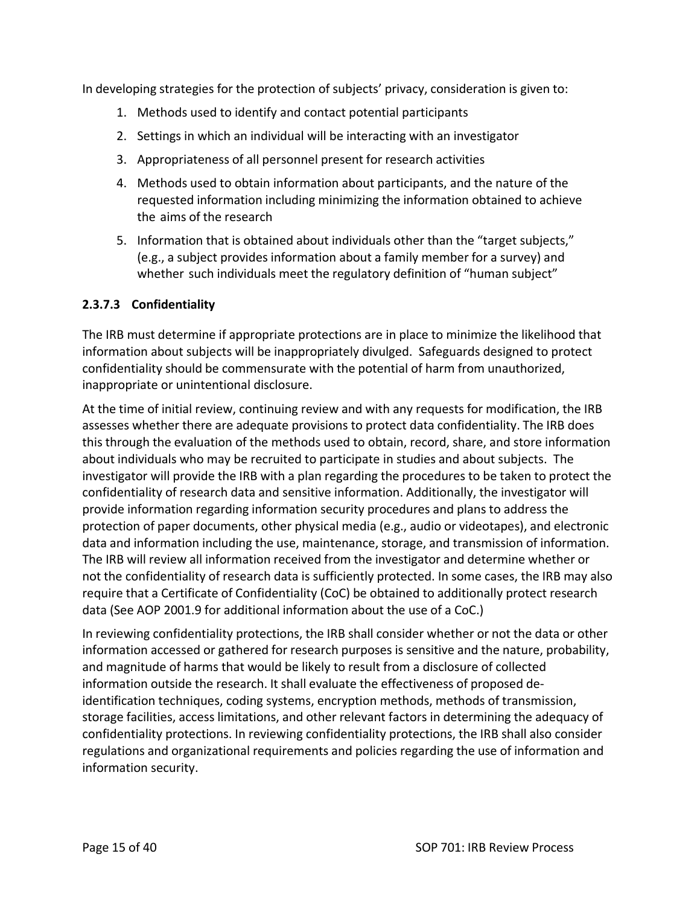In developing strategies for the protection of subjects' privacy, consideration is given to:

- 1. Methods used to identify and contact potential participants
- 2. Settings in which an individual will be interacting with an investigator
- 3. Appropriateness of all personnel present for research activities
- 4. Methods used to obtain information about participants, and the nature of the requested information including minimizing the information obtained to achieve the aims of the research
- 5. Information that is obtained about individuals other than the "target subjects," (e.g., a subject provides information about a family member for a survey) and whether such individuals meet the regulatory definition of "human subject"

#### **2.3.7.3 Confidentiality**

The IRB must determine if appropriate protections are in place to minimize the likelihood that information about subjects will be inappropriately divulged. Safeguards designed to protect confidentiality should be commensurate with the potential of harm from unauthorized, inappropriate or unintentional disclosure.

At the time of initial review, continuing review and with any requests for modification, the IRB assesses whether there are adequate provisions to protect data confidentiality. The IRB does this through the evaluation of the methods used to obtain, record, share, and store information about individuals who may be recruited to participate in studies and about subjects. The investigator will provide the IRB with a plan regarding the procedures to be taken to protect the confidentiality of research data and sensitive information. Additionally, the investigator will provide information regarding information security procedures and plans to address the protection of paper documents, other physical media (e.g., audio or videotapes), and electronic data and information including the use, maintenance, storage, and transmission of information. The IRB will review all information received from the investigator and determine whether or not the confidentiality of research data is sufficiently protected. In some cases, the IRB may also require that a Certificate of Confidentiality (CoC) be obtained to additionally protect research data (See AOP 2001.9 for additional information about the use of a CoC.)

In reviewing confidentiality protections, the IRB shall consider whether or not the data or other information accessed or gathered for research purposes is sensitive and the nature, probability, and magnitude of harms that would be likely to result from a disclosure of collected information outside the research. It shall evaluate the effectiveness of proposed de‐ identification techniques, coding systems, encryption methods, methods of transmission, storage facilities, access limitations, and other relevant factors in determining the adequacy of confidentiality protections. In reviewing confidentiality protections, the IRB shall also consider regulations and organizational requirements and policies regarding the use of information and information security.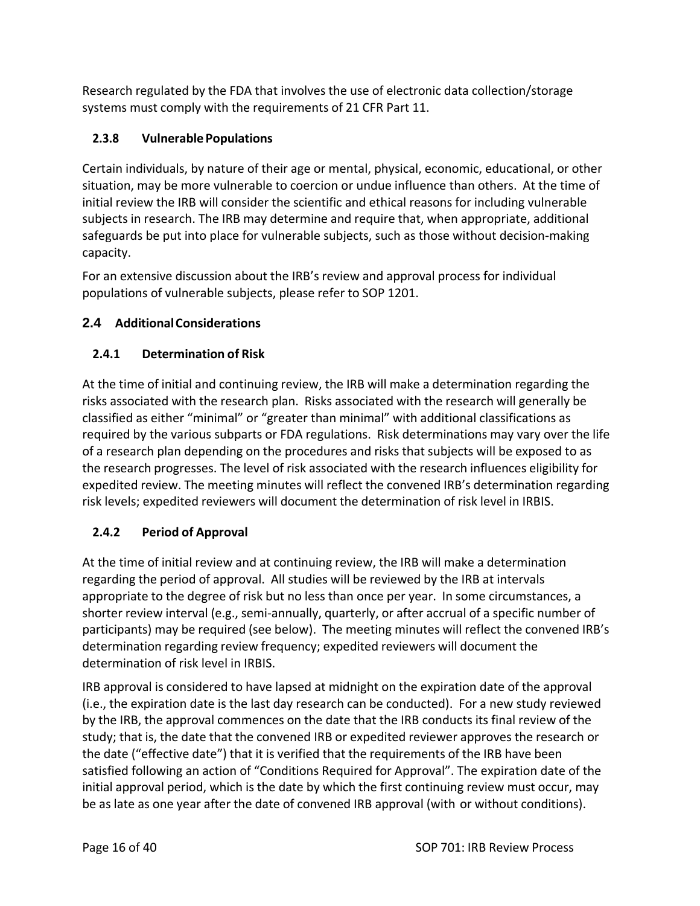Research regulated by the FDA that involves the use of electronic data collection/storage systems must comply with the requirements of 21 CFR Part 11.

# **2.3.8 Vulnerable Populations**

Certain individuals, by nature of their age or mental, physical, economic, educational, or other situation, may be more vulnerable to coercion or undue influence than others. At the time of initial review the IRB will consider the scientific and ethical reasons for including vulnerable subjects in research. The IRB may determine and require that, when appropriate, additional safeguards be put into place for vulnerable subjects, such as those without decision‐making capacity.

For an extensive discussion about the IRB's review and approval process for individual populations of vulnerable subjects, please refer to SOP 1201.

# **2.4 AdditionalConsiderations**

# **2.4.1 Determination of Risk**

At the time of initial and continuing review, the IRB will make a determination regarding the risks associated with the research plan. Risks associated with the research will generally be classified as either "minimal" or "greater than minimal" with additional classifications as required by the various subparts or FDA regulations. Risk determinations may vary over the life of a research plan depending on the procedures and risks that subjects will be exposed to as the research progresses. The level of risk associated with the research influences eligibility for expedited review. The meeting minutes will reflect the convened IRB's determination regarding risk levels; expedited reviewers will document the determination of risk level in IRBIS.

# **2.4.2 Period of Approval**

At the time of initial review and at continuing review, the IRB will make a determination regarding the period of approval. All studies will be reviewed by the IRB at intervals appropriate to the degree of risk but no less than once per year. In some circumstances, a shorter review interval (e.g., semi-annually, quarterly, or after accrual of a specific number of participants) may be required (see below). The meeting minutes will reflect the convened IRB's determination regarding review frequency; expedited reviewers will document the determination of risk level in IRBIS.

IRB approval is considered to have lapsed at midnight on the expiration date of the approval (i.e., the expiration date is the last day research can be conducted). For a new study reviewed by the IRB, the approval commences on the date that the IRB conducts its final review of the study; that is, the date that the convened IRB or expedited reviewer approves the research or the date ("effective date") that it is verified that the requirements of the IRB have been satisfied following an action of "Conditions Required for Approval". The expiration date of the initial approval period, which is the date by which the first continuing review must occur, may be as late as one year after the date of convened IRB approval (with or without conditions).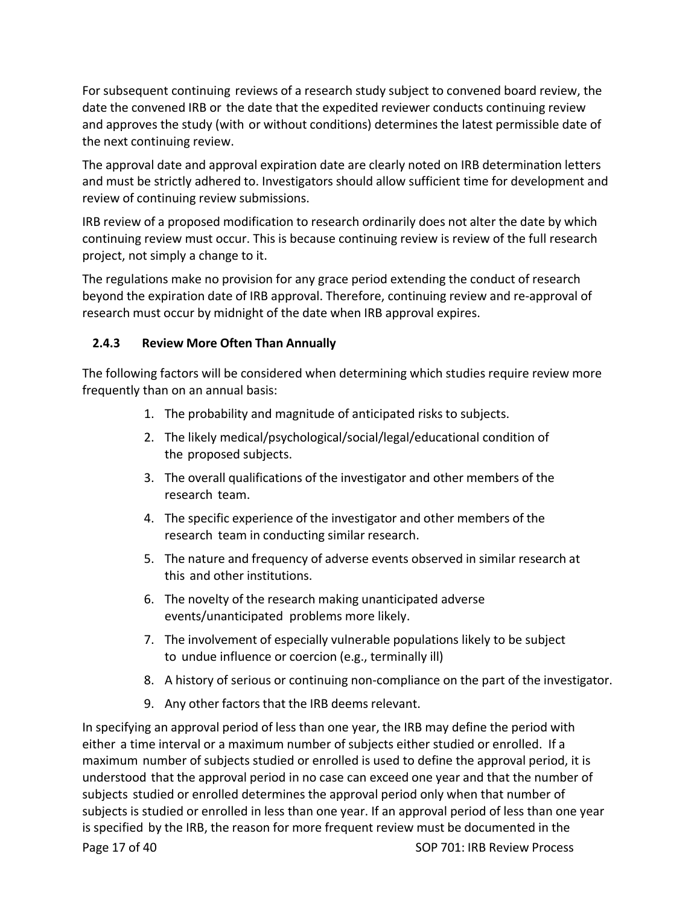For subsequent continuing reviews of a research study subject to convened board review, the date the convened IRB or the date that the expedited reviewer conducts continuing review and approves the study (with or without conditions) determines the latest permissible date of the next continuing review.

The approval date and approval expiration date are clearly noted on IRB determination letters and must be strictly adhered to. Investigators should allow sufficient time for development and review of continuing review submissions.

IRB review of a proposed modification to research ordinarily does not alter the date by which continuing review must occur. This is because continuing review is review of the full research project, not simply a change to it.

The regulations make no provision for any grace period extending the conduct of research beyond the expiration date of IRB approval. Therefore, continuing review and re‐approval of research must occur by midnight of the date when IRB approval expires.

## **2.4.3 Review More Often Than Annually**

The following factors will be considered when determining which studies require review more frequently than on an annual basis:

- 1. The probability and magnitude of anticipated risks to subjects.
- 2. The likely medical/psychological/social/legal/educational condition of the proposed subjects.
- 3. The overall qualifications of the investigator and other members of the research team.
- 4. The specific experience of the investigator and other members of the research team in conducting similar research.
- 5. The nature and frequency of adverse events observed in similar research at this and other institutions.
- 6. The novelty of the research making unanticipated adverse events/unanticipated problems more likely.
- 7. The involvement of especially vulnerable populations likely to be subject to undue influence or coercion (e.g., terminally ill)
- 8. A history of serious or continuing non‐compliance on the part of the investigator.
- 9. Any other factors that the IRB deems relevant.

Page 17 of 40 SOP 701: IRB Review Process In specifying an approval period of less than one year, the IRB may define the period with either a time interval or a maximum number of subjects either studied or enrolled. If a maximum number of subjects studied or enrolled is used to define the approval period, it is understood that the approval period in no case can exceed one year and that the number of subjects studied or enrolled determines the approval period only when that number of subjects is studied or enrolled in less than one year. If an approval period of less than one year is specified by the IRB, the reason for more frequent review must be documented in the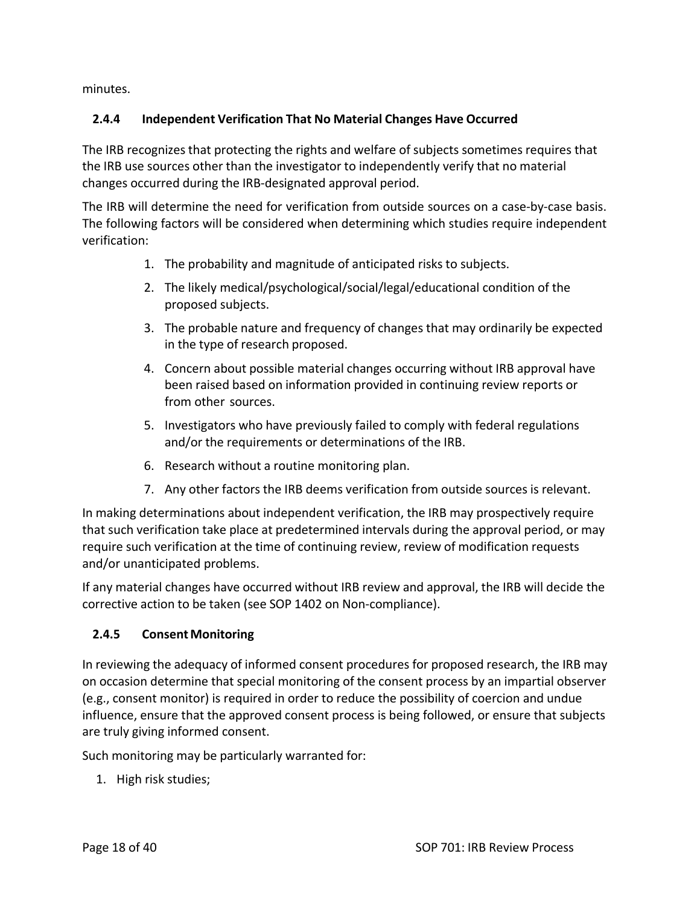minutes.

## **2.4.4 Independent Verification That No Material Changes Have Occurred**

The IRB recognizes that protecting the rights and welfare of subjects sometimes requires that the IRB use sources other than the investigator to independently verify that no material changes occurred during the IRB‐designated approval period.

The IRB will determine the need for verification from outside sources on a case-by-case basis. The following factors will be considered when determining which studies require independent verification:

- 1. The probability and magnitude of anticipated risks to subjects.
- 2. The likely medical/psychological/social/legal/educational condition of the proposed subjects.
- 3. The probable nature and frequency of changes that may ordinarily be expected in the type of research proposed.
- 4. Concern about possible material changes occurring without IRB approval have been raised based on information provided in continuing review reports or from other sources.
- 5. Investigators who have previously failed to comply with federal regulations and/or the requirements or determinations of the IRB.
- 6. Research without a routine monitoring plan.
- 7. Any other factors the IRB deems verification from outside sources is relevant.

In making determinations about independent verification, the IRB may prospectively require that such verification take place at predetermined intervals during the approval period, or may require such verification at the time of continuing review, review of modification requests and/or unanticipated problems.

If any material changes have occurred without IRB review and approval, the IRB will decide the corrective action to be taken (see SOP 1402 on Non‐compliance).

## **2.4.5 ConsentMonitoring**

In reviewing the adequacy of informed consent procedures for proposed research, the IRB may on occasion determine that special monitoring of the consent process by an impartial observer (e.g., consent monitor) is required in order to reduce the possibility of coercion and undue influence, ensure that the approved consent process is being followed, or ensure that subjects are truly giving informed consent.

Such monitoring may be particularly warranted for:

1. High risk studies;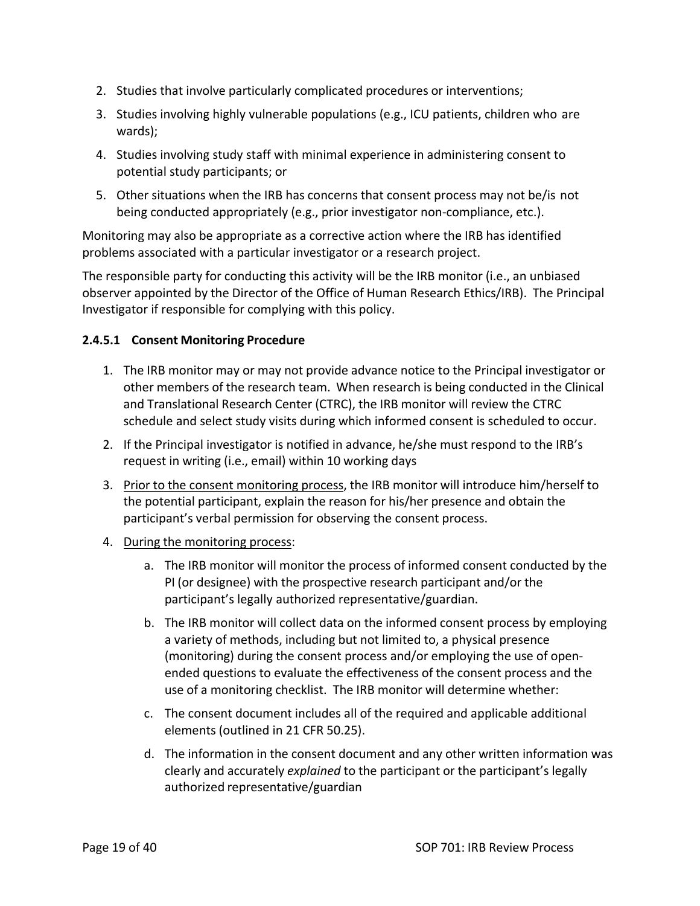- 2. Studies that involve particularly complicated procedures or interventions;
- 3. Studies involving highly vulnerable populations (e.g., ICU patients, children who are wards);
- 4. Studies involving study staff with minimal experience in administering consent to potential study participants; or
- 5. Other situations when the IRB has concerns that consent process may not be/is not being conducted appropriately (e.g., prior investigator non‐compliance, etc.).

Monitoring may also be appropriate as a corrective action where the IRB has identified problems associated with a particular investigator or a research project.

The responsible party for conducting this activity will be the IRB monitor (i.e., an unbiased observer appointed by the Director of the Office of Human Research Ethics/IRB). The Principal Investigator if responsible for complying with this policy.

#### **2.4.5.1 Consent Monitoring Procedure**

- 1. The IRB monitor may or may not provide advance notice to the Principal investigator or other members of the research team. When research is being conducted in the Clinical and Translational Research Center (CTRC), the IRB monitor will review the CTRC schedule and select study visits during which informed consent is scheduled to occur.
- 2. If the Principal investigator is notified in advance, he/she must respond to the IRB's request in writing (i.e., email) within 10 working days
- 3. Prior to the consent monitoring process, the IRB monitor will introduce him/herself to the potential participant, explain the reason for his/her presence and obtain the participant's verbal permission for observing the consent process.
- 4. During the monitoring process:
	- a. The IRB monitor will monitor the process of informed consent conducted by the PI (or designee) with the prospective research participant and/or the participant's legally authorized representative/guardian.
	- b. The IRB monitor will collect data on the informed consent process by employing a variety of methods, including but not limited to, a physical presence (monitoring) during the consent process and/or employing the use of open‐ ended questions to evaluate the effectiveness of the consent process and the use of a monitoring checklist. The IRB monitor will determine whether:
	- c. The consent document includes all of the required and applicable additional elements (outlined in 21 CFR 50.25).
	- d. The information in the consent document and any other written information was clearly and accurately *explained* to the participant or the participant's legally authorized representative/guardian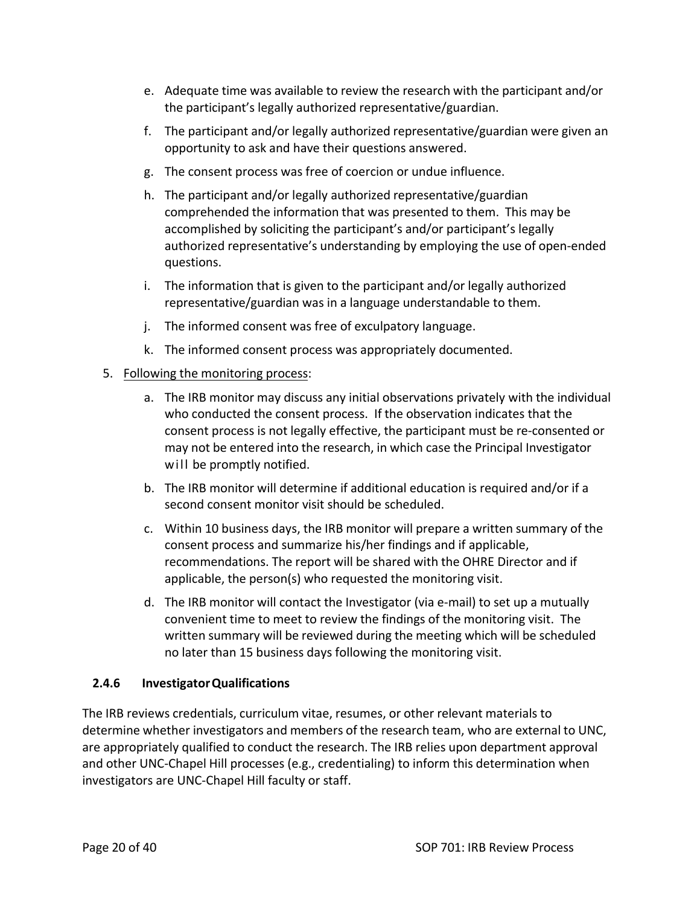- e. Adequate time was available to review the research with the participant and/or the participant's legally authorized representative/guardian.
- f. The participant and/or legally authorized representative/guardian were given an opportunity to ask and have their questions answered.
- g. The consent process was free of coercion or undue influence.
- h. The participant and/or legally authorized representative/guardian comprehended the information that was presented to them. This may be accomplished by soliciting the participant's and/or participant's legally authorized representative's understanding by employing the use of open‐ended questions.
- i. The information that is given to the participant and/or legally authorized representative/guardian was in a language understandable to them.
- j. The informed consent was free of exculpatory language.
- k. The informed consent process was appropriately documented.

#### 5. Following the monitoring process:

- a. The IRB monitor may discuss any initial observations privately with the individual who conducted the consent process. If the observation indicates that the consent process is not legally effective, the participant must be re‐consented or may not be entered into the research, in which case the Principal Investigator will be promptly notified.
- b. The IRB monitor will determine if additional education is required and/or if a second consent monitor visit should be scheduled.
- c. Within 10 business days, the IRB monitor will prepare a written summary of the consent process and summarize his/her findings and if applicable, recommendations. The report will be shared with the OHRE Director and if applicable, the person(s) who requested the monitoring visit.
- d. The IRB monitor will contact the Investigator (via e‐mail) to set up a mutually convenient time to meet to review the findings of the monitoring visit. The written summary will be reviewed during the meeting which will be scheduled no later than 15 business days following the monitoring visit.

#### **2.4.6 InvestigatorQualifications**

The IRB reviews credentials, curriculum vitae, resumes, or other relevant materials to determine whether investigators and members of the research team, who are external to UNC, are appropriately qualified to conduct the research. The IRB relies upon department approval and other UNC-Chapel Hill processes (e.g., credentialing) to inform this determination when investigators are UNC‐Chapel Hill faculty or staff.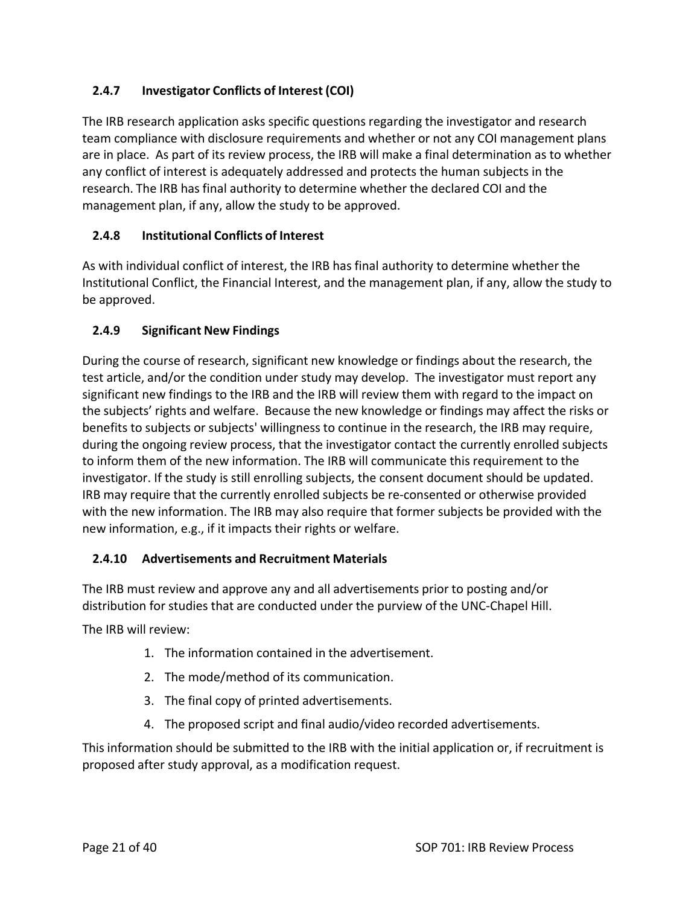## **2.4.7 Investigator Conflicts of Interest (COI)**

The IRB research application asks specific questions regarding the investigator and research team compliance with disclosure requirements and whether or not any COI management plans are in place. As part of its review process, the IRB will make a final determination as to whether any conflict of interest is adequately addressed and protects the human subjects in the research. The IRB has final authority to determine whether the declared COI and the management plan, if any, allow the study to be approved.

## **2.4.8 Institutional Conflicts of Interest**

As with individual conflict of interest, the IRB has final authority to determine whether the Institutional Conflict, the Financial Interest, and the management plan, if any, allow the study to be approved.

## **2.4.9 Significant New Findings**

During the course of research, significant new knowledge or findings about the research, the test article, and/or the condition under study may develop. The investigator must report any significant new findings to the IRB and the IRB will review them with regard to the impact on the subjects' rights and welfare. Because the new knowledge or findings may affect the risks or benefits to subjects or subjects' willingness to continue in the research, the IRB may require, during the ongoing review process, that the investigator contact the currently enrolled subjects to inform them of the new information. The IRB will communicate this requirement to the investigator. If the study is still enrolling subjects, the consent document should be updated. IRB may require that the currently enrolled subjects be re‐consented or otherwise provided with the new information. The IRB may also require that former subjects be provided with the new information, e.g., if it impacts their rights or welfare.

## **2.4.10 Advertisements and Recruitment Materials**

The IRB must review and approve any and all advertisements prior to posting and/or distribution for studies that are conducted under the purview of the UNC‐Chapel Hill.

The IRB will review:

- 1. The information contained in the advertisement.
- 2. The mode/method of its communication.
- 3. The final copy of printed advertisements.
- 4. The proposed script and final audio/video recorded advertisements.

This information should be submitted to the IRB with the initial application or, if recruitment is proposed after study approval, as a modification request.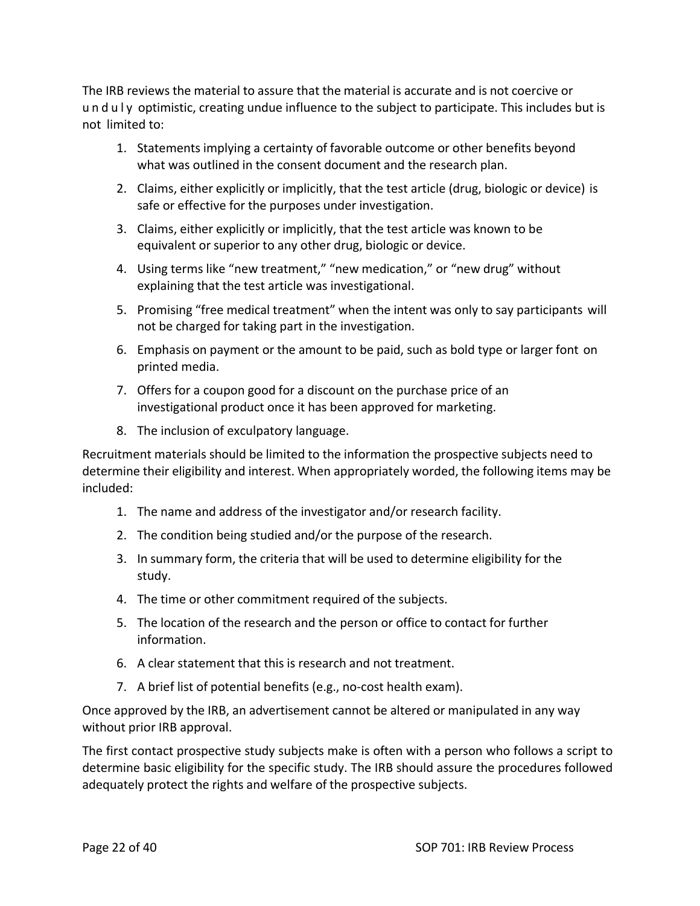The IRB reviews the material to assure that the material is accurate and is not coercive or u n d u l y optimistic, creating undue influence to the subject to participate. This includes but is not limited to:

- 1. Statements implying a certainty of favorable outcome or other benefits beyond what was outlined in the consent document and the research plan.
- 2. Claims, either explicitly or implicitly, that the test article (drug, biologic or device) is safe or effective for the purposes under investigation.
- 3. Claims, either explicitly or implicitly, that the test article was known to be equivalent or superior to any other drug, biologic or device.
- 4. Using terms like "new treatment," "new medication," or "new drug" without explaining that the test article was investigational.
- 5. Promising "free medical treatment" when the intent was only to say participants will not be charged for taking part in the investigation.
- 6. Emphasis on payment or the amount to be paid, such as bold type or larger font on printed media.
- 7. Offers for a coupon good for a discount on the purchase price of an investigational product once it has been approved for marketing.
- 8. The inclusion of exculpatory language.

Recruitment materials should be limited to the information the prospective subjects need to determine their eligibility and interest. When appropriately worded, the following items may be included:

- 1. The name and address of the investigator and/or research facility.
- 2. The condition being studied and/or the purpose of the research.
- 3. In summary form, the criteria that will be used to determine eligibility for the study.
- 4. The time or other commitment required of the subjects.
- 5. The location of the research and the person or office to contact for further information.
- 6. A clear statement that this is research and not treatment.
- 7. A brief list of potential benefits (e.g., no‐cost health exam).

Once approved by the IRB, an advertisement cannot be altered or manipulated in any way without prior IRB approval.

The first contact prospective study subjects make is often with a person who follows a script to determine basic eligibility for the specific study. The IRB should assure the procedures followed adequately protect the rights and welfare of the prospective subjects.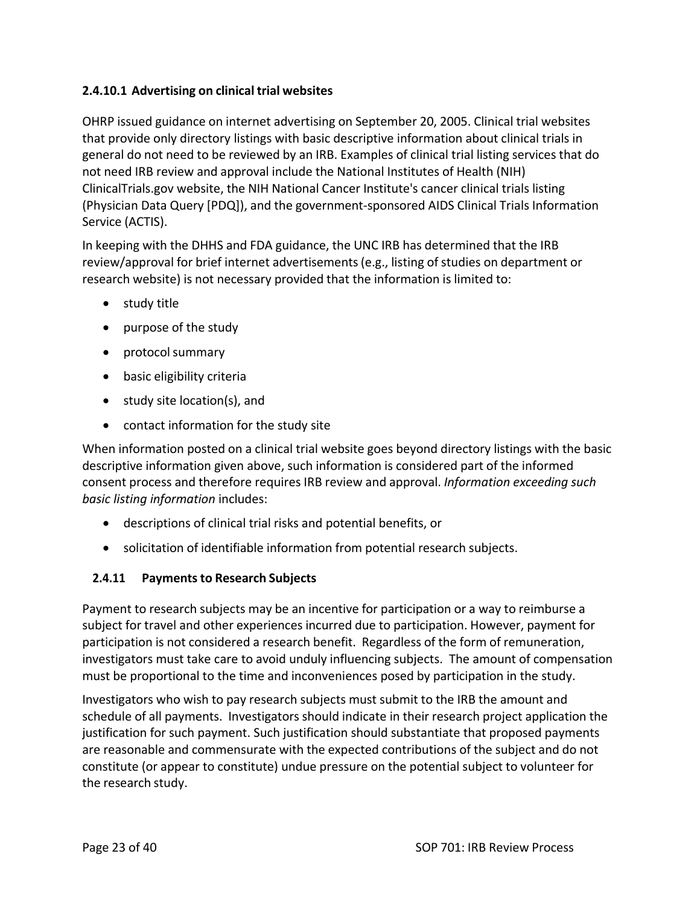#### **2.4.10.1 Advertising on clinical trial websites**

OHRP issued guidance on internet advertising on September 20, 2005. Clinical trial websites that provide only directory listings with basic descriptive information about clinical trials in general do not need to be reviewed by an IRB. Examples of clinical trial listing services that do not need IRB review and approval include the National Institutes of Health (NIH) ClinicalTrials.gov website, the NIH National Cancer Institute's cancer clinical trials listing (Physician Data Query [PDQ]), and the government‐sponsored AIDS Clinical Trials Information Service (ACTIS).

In keeping with the DHHS and FDA guidance, the UNC IRB has determined that the IRB review/approval for brief internet advertisements(e.g., listing of studies on department or research website) is not necessary provided that the information is limited to:

- study title
- purpose of the study
- protocol summary
- basic eligibility criteria
- study site location(s), and
- contact information for the study site

When information posted on a clinical trial website goes beyond directory listings with the basic descriptive information given above, such information is considered part of the informed consent process and therefore requires IRB review and approval. *Information exceeding such basic listing information* includes:

- descriptions of clinical trial risks and potential benefits, or
- solicitation of identifiable information from potential research subjects.

## **2.4.11 Paymentsto Research Subjects**

Payment to research subjects may be an incentive for participation or a way to reimburse a subject for travel and other experiences incurred due to participation. However, payment for participation is not considered a research benefit. Regardless of the form of remuneration, investigators must take care to avoid unduly influencing subjects. The amount of compensation must be proportional to the time and inconveniences posed by participation in the study.

Investigators who wish to pay research subjects must submit to the IRB the amount and schedule of all payments. Investigators should indicate in their research project application the justification for such payment. Such justification should substantiate that proposed payments are reasonable and commensurate with the expected contributions of the subject and do not constitute (or appear to constitute) undue pressure on the potential subject to volunteer for the research study.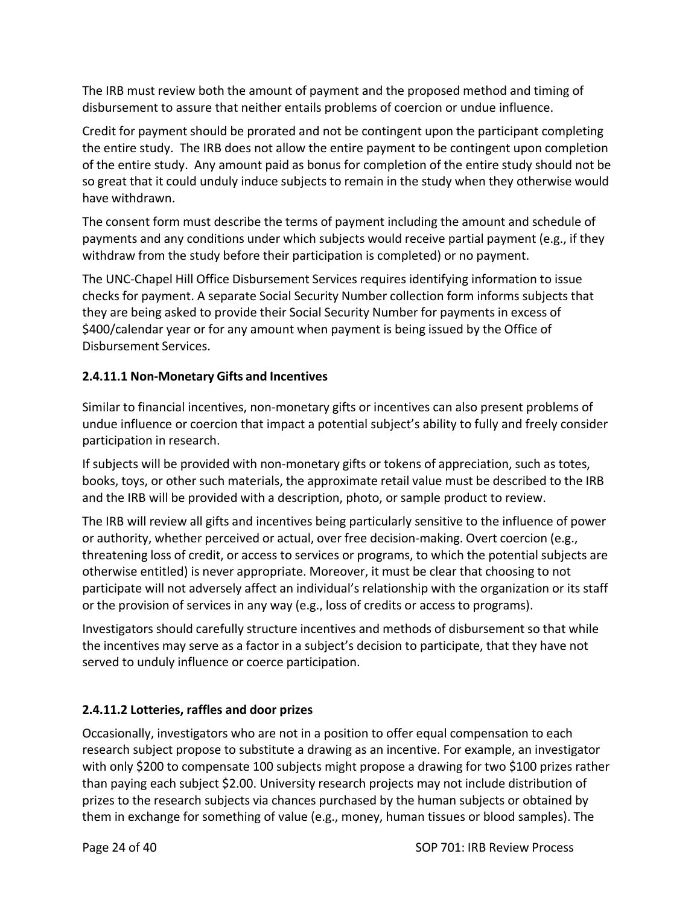The IRB must review both the amount of payment and the proposed method and timing of disbursement to assure that neither entails problems of coercion or undue influence.

Credit for payment should be prorated and not be contingent upon the participant completing the entire study. The IRB does not allow the entire payment to be contingent upon completion of the entire study. Any amount paid as bonus for completion of the entire study should not be so great that it could unduly induce subjects to remain in the study when they otherwise would have withdrawn.

The consent form must describe the terms of payment including the amount and schedule of payments and any conditions under which subjects would receive partial payment (e.g., if they withdraw from the study before their participation is completed) or no payment.

The UNC‐Chapel Hill Office Disbursement Services requires identifying information to issue checks for payment. A separate Social Security Number collection form informs subjects that they are being asked to provide their Social Security Number for payments in excess of \$400/calendar year or for any amount when payment is being issued by the Office of Disbursement Services.

## **2.4.11.1 Non‐Monetary Gifts and Incentives**

Similar to financial incentives, non‐monetary gifts or incentives can also present problems of undue influence or coercion that impact a potential subject's ability to fully and freely consider participation in research.

If subjects will be provided with non‐monetary gifts or tokens of appreciation, such as totes, books, toys, or other such materials, the approximate retail value must be described to the IRB and the IRB will be provided with a description, photo, or sample product to review.

The IRB will review all gifts and incentives being particularly sensitive to the influence of power or authority, whether perceived or actual, over free decision-making. Overt coercion (e.g., threatening loss of credit, or access to services or programs, to which the potential subjects are otherwise entitled) is never appropriate. Moreover, it must be clear that choosing to not participate will not adversely affect an individual's relationship with the organization or its staff or the provision of services in any way (e.g., loss of credits or access to programs).

Investigators should carefully structure incentives and methods of disbursement so that while the incentives may serve as a factor in a subject's decision to participate, that they have not served to unduly influence or coerce participation.

# **2.4.11.2 Lotteries, raffles and door prizes**

Occasionally, investigators who are not in a position to offer equal compensation to each research subject propose to substitute a drawing as an incentive. For example, an investigator with only \$200 to compensate 100 subjects might propose a drawing for two \$100 prizes rather than paying each subject \$2.00. University research projects may not include distribution of prizes to the research subjects via chances purchased by the human subjects or obtained by them in exchange for something of value (e.g., money, human tissues or blood samples). The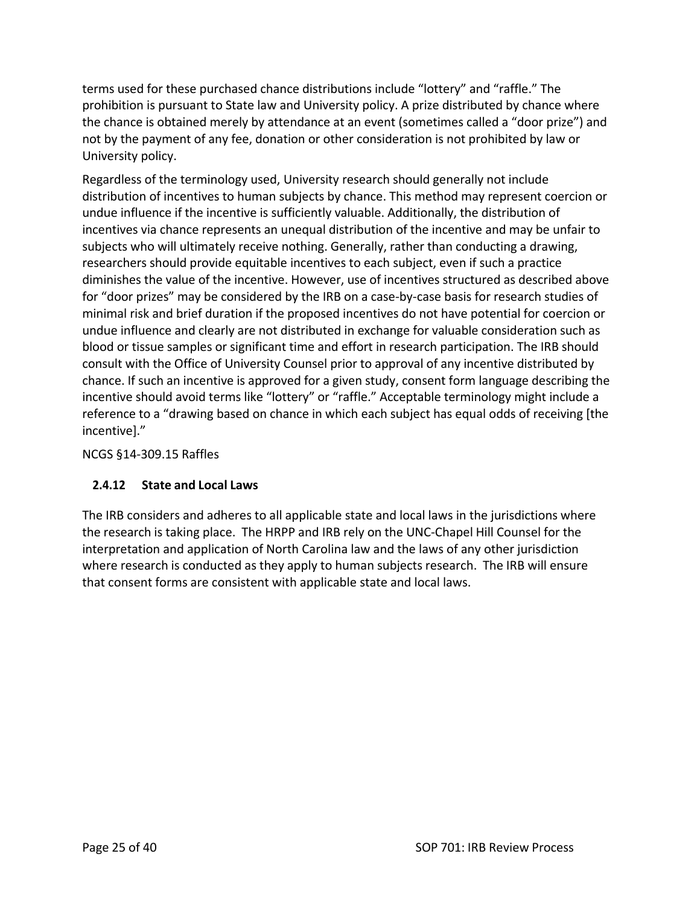terms used for these purchased chance distributions include "lottery" and "raffle." The prohibition is pursuant to State law and University policy. A prize distributed by chance where the chance is obtained merely by attendance at an event (sometimes called a "door prize") and not by the payment of any fee, donation or other consideration is not prohibited by law or University policy.

Regardless of the terminology used, University research should generally not include distribution of incentives to human subjects by chance. This method may represent coercion or undue influence if the incentive is sufficiently valuable. Additionally, the distribution of incentives via chance represents an unequal distribution of the incentive and may be unfair to subjects who will ultimately receive nothing. Generally, rather than conducting a drawing, researchers should provide equitable incentives to each subject, even if such a practice diminishes the value of the incentive. However, use of incentives structured as described above for "door prizes" may be considered by the IRB on a case-by-case basis for research studies of minimal risk and brief duration if the proposed incentives do not have potential for coercion or undue influence and clearly are not distributed in exchange for valuable consideration such as blood or tissue samples or significant time and effort in research participation. The IRB should consult with the Office of University Counsel prior to approval of any incentive distributed by chance. If such an incentive is approved for a given study, consent form language describing the incentive should avoid terms like "lottery" or "raffle." Acceptable terminology might include a reference to a "drawing based on chance in which each subject has equal odds of receiving [the incentive]."

NCGS §14‐309.15 Raffles

#### **2.4.12 State and Local Laws**

The IRB considers and adheres to all applicable state and local laws in the jurisdictions where the research is taking place. The HRPP and IRB rely on the UNC‐Chapel Hill Counsel for the interpretation and application of North Carolina law and the laws of any other jurisdiction where research is conducted as they apply to human subjects research. The IRB will ensure that consent forms are consistent with applicable state and local laws.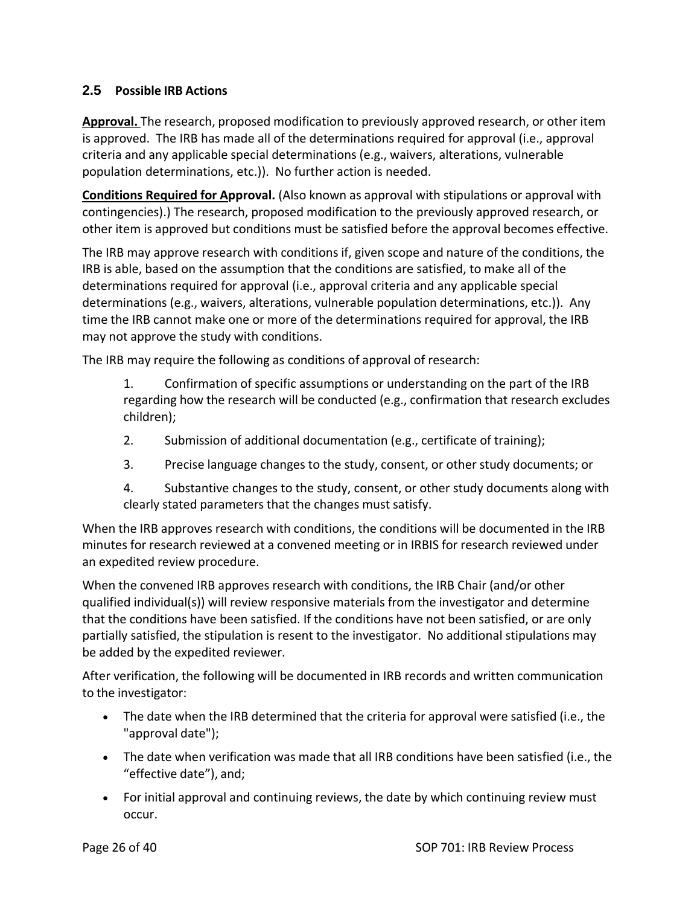#### **2.5 Possible IRB Actions**

**Approval.** The research, proposed modification to previously approved research, or other item is approved. The IRB has made all of the determinations required for approval (i.e., approval criteria and any applicable special determinations (e.g., waivers, alterations, vulnerable population determinations, etc.)). No further action is needed.

**Conditions Required for Approval.** (Also known as approval with stipulations or approval with contingencies).) The research, proposed modification to the previously approved research, or other item is approved but conditions must be satisfied before the approval becomes effective.

The IRB may approve research with conditions if, given scope and nature of the conditions, the IRB is able, based on the assumption that the conditions are satisfied, to make all of the determinations required for approval (i.e., approval criteria and any applicable special determinations (e.g., waivers, alterations, vulnerable population determinations, etc.)). Any time the IRB cannot make one or more of the determinations required for approval, the IRB may not approve the study with conditions.

The IRB may require the following as conditions of approval of research:

1. Confirmation of specific assumptions or understanding on the part of the IRB regarding how the research will be conducted (e.g., confirmation that research excludes children);

- 2. Submission of additional documentation (e.g., certificate of training);
- 3. Precise language changes to the study, consent, or other study documents; or

4. Substantive changes to the study, consent, or other study documents along with clearly stated parameters that the changes must satisfy.

When the IRB approves research with conditions, the conditions will be documented in the IRB minutes for research reviewed at a convened meeting or in IRBIS for research reviewed under an expedited review procedure.

When the convened IRB approves research with conditions, the IRB Chair (and/or other qualified individual(s)) will review responsive materials from the investigator and determine that the conditions have been satisfied. If the conditions have not been satisfied, or are only partially satisfied, the stipulation is resent to the investigator. No additional stipulations may be added by the expedited reviewer.

After verification, the following will be documented in IRB records and written communication to the investigator:

- The date when the IRB determined that the criteria for approval were satisfied (i.e., the "approval date");
- The date when verification was made that all IRB conditions have been satisfied (i.e., the "effective date"), and;
- For initial approval and continuing reviews, the date by which continuing review must occur.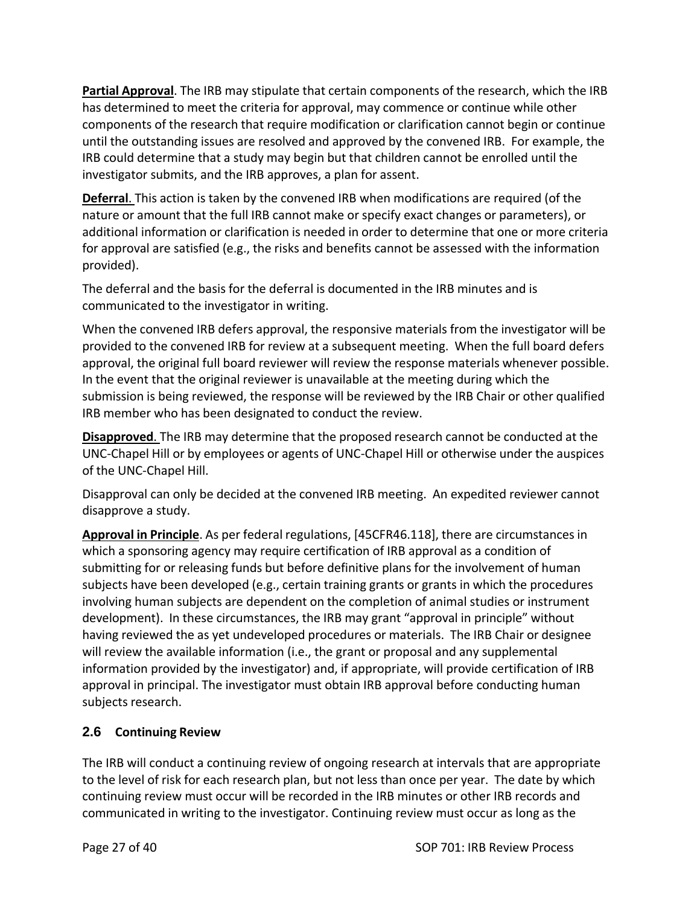**Partial Approval**. The IRB may stipulate that certain components of the research, which the IRB has determined to meet the criteria for approval, may commence or continue while other components of the research that require modification or clarification cannot begin or continue until the outstanding issues are resolved and approved by the convened IRB. For example, the IRB could determine that a study may begin but that children cannot be enrolled until the investigator submits, and the IRB approves, a plan for assent.

**Deferral**. This action is taken by the convened IRB when modifications are required (of the nature or amount that the full IRB cannot make or specify exact changes or parameters), or additional information or clarification is needed in order to determine that one or more criteria for approval are satisfied (e.g., the risks and benefits cannot be assessed with the information provided).

The deferral and the basis for the deferral is documented in the IRB minutes and is communicated to the investigator in writing.

When the convened IRB defers approval, the responsive materials from the investigator will be provided to the convened IRB for review at a subsequent meeting. When the full board defers approval, the original full board reviewer will review the response materials whenever possible. In the event that the original reviewer is unavailable at the meeting during which the submission is being reviewed, the response will be reviewed by the IRB Chair or other qualified IRB member who has been designated to conduct the review.

**Disapproved**. The IRB may determine that the proposed research cannot be conducted at the UNC‐Chapel Hill or by employees or agents of UNC‐Chapel Hill or otherwise under the auspices of the UNC‐Chapel Hill.

Disapproval can only be decided at the convened IRB meeting. An expedited reviewer cannot disapprove a study.

**Approval in Principle**. As per federal regulations, [45CFR46.118], there are circumstancesin which a sponsoring agency may require certification of IRB approval as a condition of submitting for or releasing funds but before definitive plans for the involvement of human subjects have been developed (e.g., certain training grants or grants in which the procedures involving human subjects are dependent on the completion of animal studies or instrument development). In these circumstances, the IRB may grant "approval in principle" without having reviewed the as yet undeveloped procedures or materials. The IRB Chair or designee will review the available information (i.e., the grant or proposal and any supplemental information provided by the investigator) and, if appropriate, will provide certification of IRB approval in principal. The investigator must obtain IRB approval before conducting human subjects research.

## **2.6 Continuing Review**

The IRB will conduct a continuing review of ongoing research at intervals that are appropriate to the level of risk for each research plan, but not less than once per year. The date by which continuing review must occur will be recorded in the IRB minutes or other IRB records and communicated in writing to the investigator. Continuing review must occur as long as the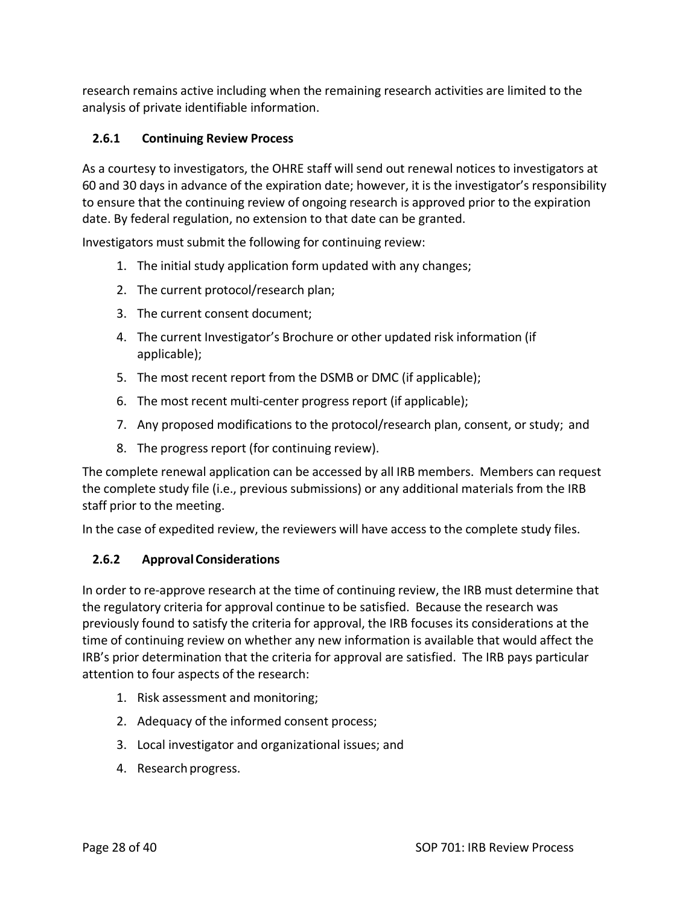research remains active including when the remaining research activities are limited to the analysis of private identifiable information.

## **2.6.1 Continuing Review Process**

As a courtesy to investigators, the OHRE staff will send out renewal notices to investigators at 60 and 30 days in advance of the expiration date; however, it is the investigator's responsibility to ensure that the continuing review of ongoing research is approved prior to the expiration date. By federal regulation, no extension to that date can be granted.

Investigators must submit the following for continuing review:

- 1. The initial study application form updated with any changes;
- 2. The current protocol/research plan;
- 3. The current consent document;
- 4. The current Investigator's Brochure or other updated risk information (if applicable);
- 5. The most recent report from the DSMB or DMC (if applicable);
- 6. The most recent multi‐center progress report (if applicable);
- 7. Any proposed modifications to the protocol/research plan, consent, or study; and
- 8. The progress report (for continuing review).

The complete renewal application can be accessed by all IRB members. Members can request the complete study file (i.e., previous submissions) or any additional materials from the IRB staff prior to the meeting.

In the case of expedited review, the reviewers will have access to the complete study files.

## **2.6.2 ApprovalConsiderations**

In order to re-approve research at the time of continuing review, the IRB must determine that the regulatory criteria for approval continue to be satisfied. Because the research was previously found to satisfy the criteria for approval, the IRB focuses its considerations at the time of continuing review on whether any new information is available that would affect the IRB's prior determination that the criteria for approval are satisfied. The IRB pays particular attention to four aspects of the research:

- 1. Risk assessment and monitoring;
- 2. Adequacy of the informed consent process;
- 3. Local investigator and organizational issues; and
- 4. Research progress.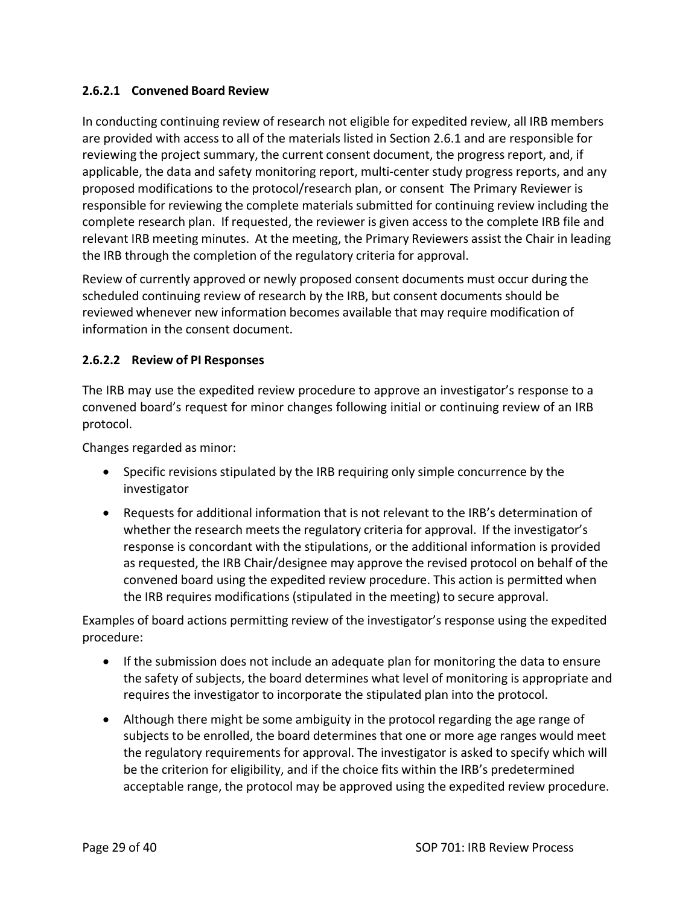#### **2.6.2.1 Convened Board Review**

In conducting continuing review of research not eligible for expedited review, all IRB members are provided with access to all of the materials listed in Section 2.6.1 and are responsible for reviewing the project summary, the current consent document, the progress report, and, if applicable, the data and safety monitoring report, multi‐center study progress reports, and any proposed modifications to the protocol/research plan, or consent The Primary Reviewer is responsible for reviewing the complete materials submitted for continuing review including the complete research plan. If requested, the reviewer is given access to the complete IRB file and relevant IRB meeting minutes. At the meeting, the Primary Reviewers assist the Chair in leading the IRB through the completion of the regulatory criteria for approval.

Review of currently approved or newly proposed consent documents must occur during the scheduled continuing review of research by the IRB, but consent documents should be reviewed whenever new information becomes available that may require modification of information in the consent document.

#### **2.6.2.2 Review of PI Responses**

The IRB may use the expedited review procedure to approve an investigator's response to a convened board's request for minor changes following initial or continuing review of an IRB protocol.

Changes regarded as minor:

- Specific revisions stipulated by the IRB requiring only simple concurrence by the investigator
- Requests for additional information that is not relevant to the IRB's determination of whether the research meets the regulatory criteria for approval. If the investigator's response is concordant with the stipulations, or the additional information is provided as requested, the IRB Chair/designee may approve the revised protocol on behalf of the convened board using the expedited review procedure. This action is permitted when the IRB requires modifications (stipulated in the meeting) to secure approval.

Examples of board actions permitting review of the investigator's response using the expedited procedure:

- If the submission does not include an adequate plan for monitoring the data to ensure the safety of subjects, the board determines what level of monitoring is appropriate and requires the investigator to incorporate the stipulated plan into the protocol.
- Although there might be some ambiguity in the protocol regarding the age range of subjects to be enrolled, the board determines that one or more age ranges would meet the regulatory requirements for approval. The investigator is asked to specify which will be the criterion for eligibility, and if the choice fits within the IRB's predetermined acceptable range, the protocol may be approved using the expedited review procedure.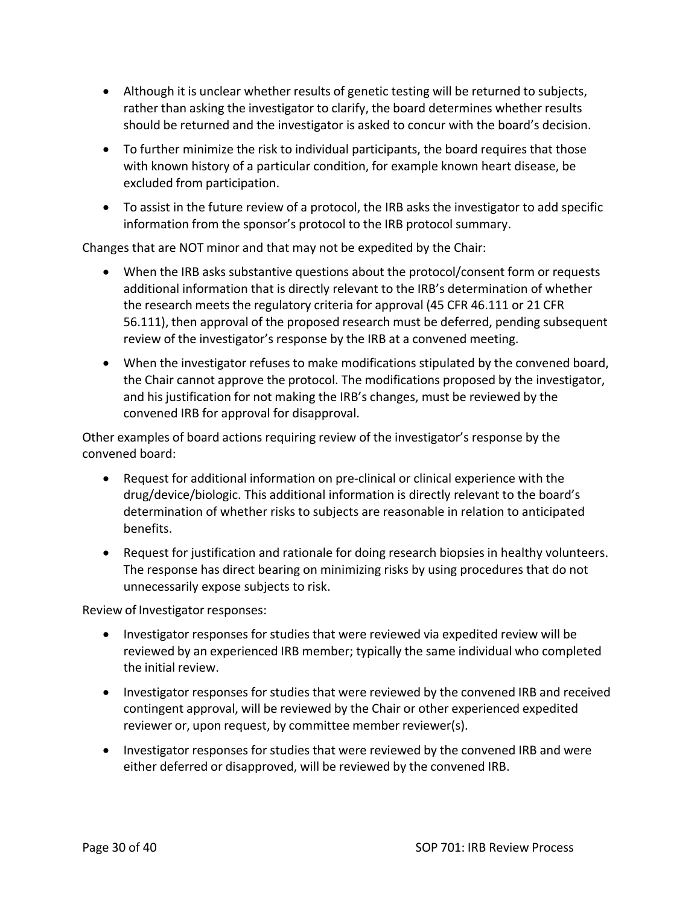- Although it is unclear whether results of genetic testing will be returned to subjects, rather than asking the investigator to clarify, the board determines whether results should be returned and the investigator is asked to concur with the board's decision.
- To further minimize the risk to individual participants, the board requires that those with known history of a particular condition, for example known heart disease, be excluded from participation.
- To assist in the future review of a protocol, the IRB asks the investigator to add specific information from the sponsor's protocol to the IRB protocol summary.

Changes that are NOT minor and that may not be expedited by the Chair:

- When the IRB asks substantive questions about the protocol/consent form or requests additional information that is directly relevant to the IRB's determination of whether the research meets the regulatory criteria for approval (45 CFR 46.111 or 21 CFR 56.111), then approval of the proposed research must be deferred, pending subsequent review of the investigator's response by the IRB at a convened meeting.
- When the investigator refuses to make modifications stipulated by the convened board, the Chair cannot approve the protocol. The modifications proposed by the investigator, and his justification for not making the IRB's changes, must be reviewed by the convened IRB for approval for disapproval.

Other examples of board actions requiring review of the investigator's response by the convened board:

- Request for additional information on pre‐clinical or clinical experience with the drug/device/biologic. This additional information is directly relevant to the board's determination of whether risks to subjects are reasonable in relation to anticipated benefits.
- Request for justification and rationale for doing research biopsies in healthy volunteers. The response has direct bearing on minimizing risks by using procedures that do not unnecessarily expose subjects to risk.

Review of Investigator responses:

- Investigator responses for studies that were reviewed via expedited review will be reviewed by an experienced IRB member; typically the same individual who completed the initial review.
- Investigator responses for studies that were reviewed by the convened IRB and received contingent approval, will be reviewed by the Chair or other experienced expedited reviewer or, upon request, by committee member reviewer(s).
- Investigator responses for studies that were reviewed by the convened IRB and were either deferred or disapproved, will be reviewed by the convened IRB.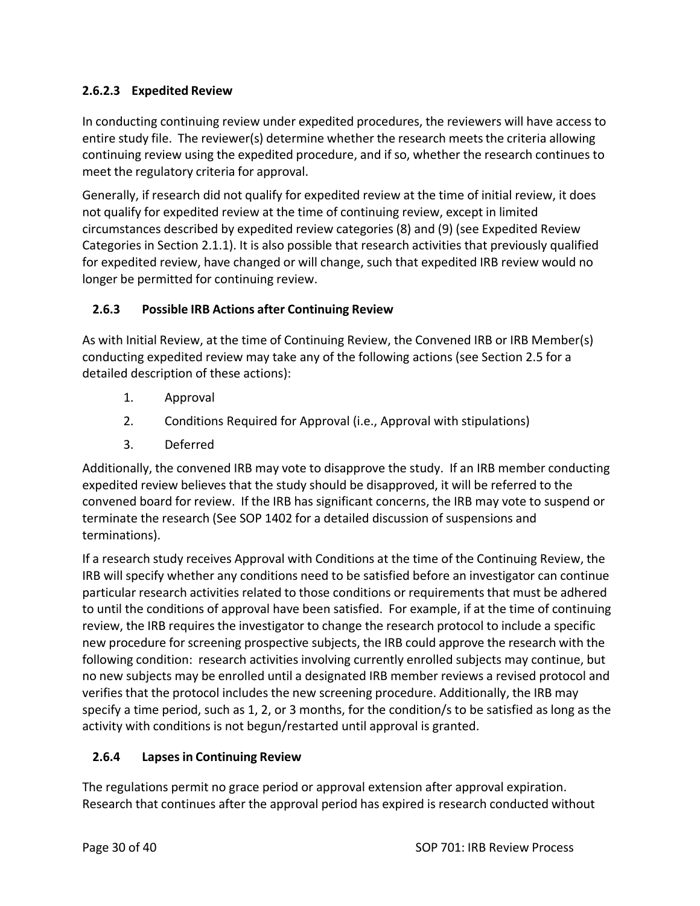## **2.6.2.3 Expedited Review**

In conducting continuing review under expedited procedures, the reviewers will have access to entire study file. The reviewer(s) determine whether the research meets the criteria allowing continuing review using the expedited procedure, and if so, whether the research continues to meet the regulatory criteria for approval.

Generally, if research did not qualify for expedited review at the time of initial review, it does not qualify for expedited review at the time of continuing review, except in limited circumstances described by expedited review categories (8) and (9) (see Expedited Review Categories in Section 2.1.1). It is also possible that research activities that previously qualified for expedited review, have changed or will change, such that expedited IRB review would no longer be permitted for continuing review.

## **2.6.3 Possible IRB Actions after Continuing Review**

As with Initial Review, at the time of Continuing Review, the Convened IRB or IRB Member(s) conducting expedited review may take any of the following actions (see Section 2.5 for a detailed description of these actions):

- 1. Approval
- 2. Conditions Required for Approval (i.e., Approval with stipulations)
- 3. Deferred

Additionally, the convened IRB may vote to disapprove the study. If an IRB member conducting expedited review believes that the study should be disapproved, it will be referred to the convened board for review. If the IRB has significant concerns, the IRB may vote to suspend or terminate the research (See SOP 1402 for a detailed discussion of suspensions and terminations).

If a research study receives Approval with Conditions at the time of the Continuing Review, the IRB will specify whether any conditions need to be satisfied before an investigator can continue particular research activities related to those conditions or requirements that must be adhered to until the conditions of approval have been satisfied. For example, if at the time of continuing review, the IRB requires the investigator to change the research protocol to include a specific new procedure for screening prospective subjects, the IRB could approve the research with the following condition: research activities involving currently enrolled subjects may continue, but no new subjects may be enrolled until a designated IRB member reviews a revised protocol and verifies that the protocol includes the new screening procedure. Additionally, the IRB may specify a time period, such as 1, 2, or 3 months, for the condition/s to be satisfied as long as the activity with conditions is not begun/restarted until approval is granted.

## **2.6.4 Lapsesin Continuing Review**

The regulations permit no grace period or approval extension after approval expiration. Research that continues after the approval period has expired is research conducted without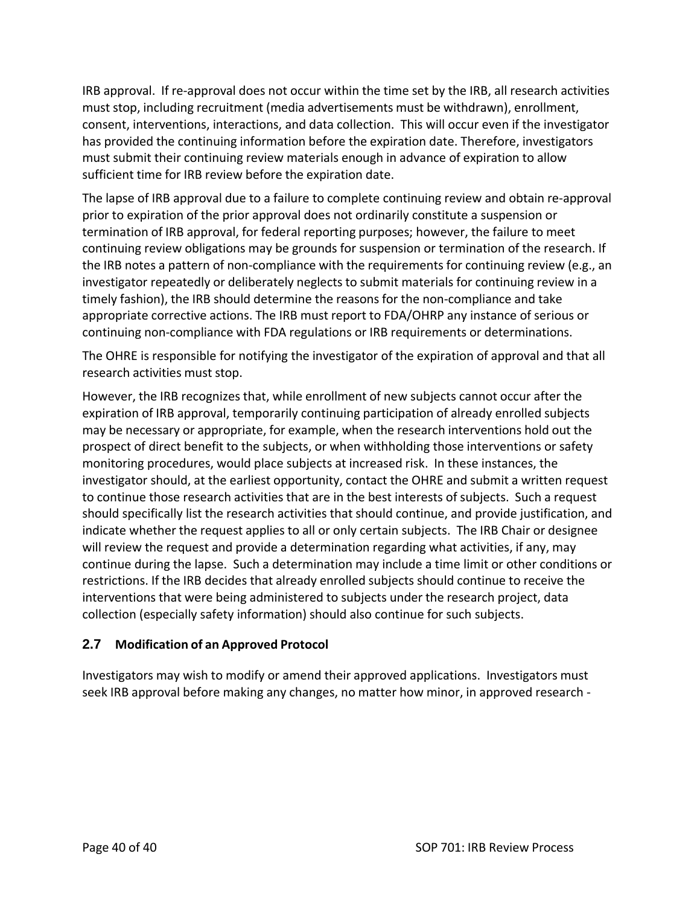IRB approval. If re‐approval does not occur within the time set by the IRB, all research activities must stop, including recruitment (media advertisements must be withdrawn), enrollment, consent, interventions, interactions, and data collection. This will occur even if the investigator has provided the continuing information before the expiration date. Therefore, investigators must submit their continuing review materials enough in advance of expiration to allow sufficient time for IRB review before the expiration date.

The lapse of IRB approval due to a failure to complete continuing review and obtain re‐approval prior to expiration of the prior approval does not ordinarily constitute a suspension or termination of IRB approval, for federal reporting purposes; however, the failure to meet continuing review obligations may be grounds for suspension or termination of the research. If the IRB notes a pattern of non-compliance with the requirements for continuing review (e.g., an investigator repeatedly or deliberately neglects to submit materials for continuing review in a timely fashion), the IRB should determine the reasons for the non‐compliance and take appropriate corrective actions. The IRB must report to FDA/OHRP any instance of serious or continuing non‐compliance with FDA regulations or IRB requirements or determinations.

The OHRE is responsible for notifying the investigator of the expiration of approval and that all research activities must stop.

However, the IRB recognizes that, while enrollment of new subjects cannot occur after the expiration of IRB approval, temporarily continuing participation of already enrolled subjects may be necessary or appropriate, for example, when the research interventions hold out the prospect of direct benefit to the subjects, or when withholding those interventions or safety monitoring procedures, would place subjects at increased risk. In these instances, the investigator should, at the earliest opportunity, contact the OHRE and submit a written request to continue those research activities that are in the best interests of subjects. Such a request should specifically list the research activities that should continue, and provide justification, and indicate whether the request applies to all or only certain subjects. The IRB Chair or designee will review the request and provide a determination regarding what activities, if any, may continue during the lapse. Such a determination may include a time limit or other conditions or restrictions. If the IRB decides that already enrolled subjects should continue to receive the interventions that were being administered to subjects under the research project, data collection (especially safety information) should also continue for such subjects.

## **2.7 Modification of an Approved Protocol**

Investigators may wish to modify or amend their approved applications. Investigators must seek IRB approval before making any changes, no matter how minor, in approved research ‐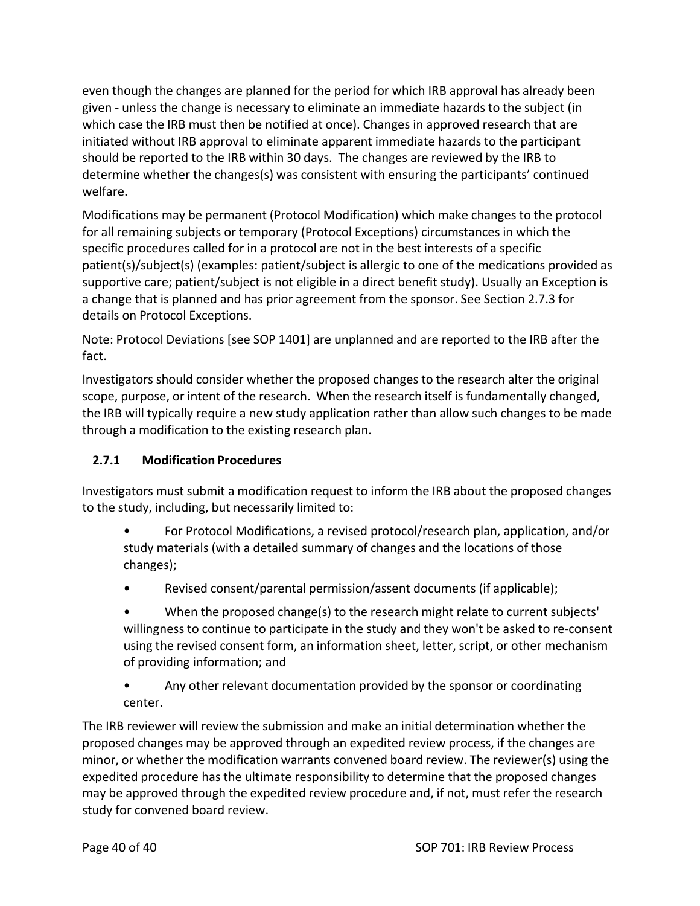even though the changes are planned for the period for which IRB approval has already been given ‐ unless the change is necessary to eliminate an immediate hazards to the subject (in which case the IRB must then be notified at once). Changes in approved research that are initiated without IRB approval to eliminate apparent immediate hazards to the participant should be reported to the IRB within 30 days. The changes are reviewed by the IRB to determine whether the changes(s) was consistent with ensuring the participants' continued welfare.

Modifications may be permanent (Protocol Modification) which make changes to the protocol for all remaining subjects or temporary (Protocol Exceptions) circumstances in which the specific procedures called for in a protocol are not in the best interests of a specific patient(s)/subject(s) (examples: patient/subject is allergic to one of the medications provided as supportive care; patient/subject is not eligible in a direct benefit study). Usually an Exception is a change that is planned and has prior agreement from the sponsor. See Section 2.7.3 for details on Protocol Exceptions.

Note: Protocol Deviations [see SOP 1401] are unplanned and are reported to the IRB after the fact.

Investigators should consider whether the proposed changes to the research alter the original scope, purpose, or intent of the research. When the research itself is fundamentally changed, the IRB will typically require a new study application rather than allow such changes to be made through a modification to the existing research plan.

## **2.7.1 Modification Procedures**

Investigators must submit a modification request to inform the IRB about the proposed changes to the study, including, but necessarily limited to:

- For Protocol Modifications, a revised protocol/research plan, application, and/or study materials (with a detailed summary of changes and the locations of those changes);
- Revised consent/parental permission/assent documents (if applicable);

• When the proposed change(s) to the research might relate to current subjects' willingness to continue to participate in the study and they won't be asked to re‐consent using the revised consent form, an information sheet, letter, script, or other mechanism of providing information; and

• Any other relevant documentation provided by the sponsor or coordinating center.

The IRB reviewer will review the submission and make an initial determination whether the proposed changes may be approved through an expedited review process, if the changes are minor, or whether the modification warrants convened board review. The reviewer(s) using the expedited procedure has the ultimate responsibility to determine that the proposed changes may be approved through the expedited review procedure and, if not, must refer the research study for convened board review.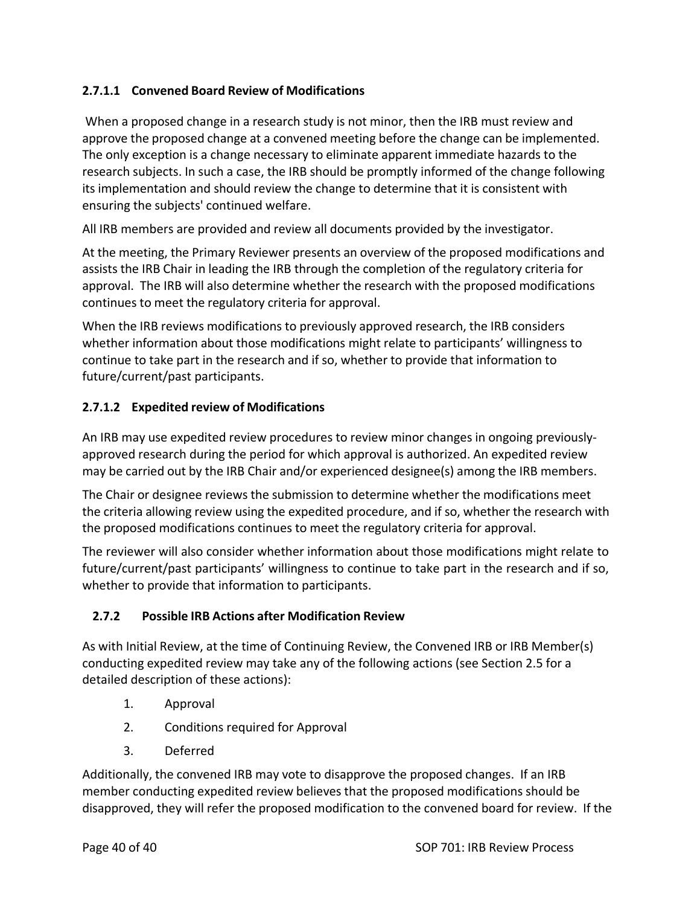## **2.7.1.1 Convened Board Review of Modifications**

When a proposed change in a research study is not minor, then the IRB must review and approve the proposed change at a convened meeting before the change can be implemented. The only exception is a change necessary to eliminate apparent immediate hazards to the research subjects. In such a case, the IRB should be promptly informed of the change following its implementation and should review the change to determine that it is consistent with ensuring the subjects' continued welfare.

All IRB members are provided and review all documents provided by the investigator.

At the meeting, the Primary Reviewer presents an overview of the proposed modifications and assists the IRB Chair in leading the IRB through the completion of the regulatory criteria for approval. The IRB will also determine whether the research with the proposed modifications continues to meet the regulatory criteria for approval.

When the IRB reviews modifications to previously approved research, the IRB considers whether information about those modifications might relate to participants' willingness to continue to take part in the research and if so, whether to provide that information to future/current/past participants.

#### **2.7.1.2 Expedited review of Modifications**

An IRB may use expedited review procedures to review minor changes in ongoing previously‐ approved research during the period for which approval is authorized. An expedited review may be carried out by the IRB Chair and/or experienced designee(s) among the IRB members.

The Chair or designee reviews the submission to determine whether the modifications meet the criteria allowing review using the expedited procedure, and if so, whether the research with the proposed modifications continues to meet the regulatory criteria for approval.

The reviewer will also consider whether information about those modifications might relate to future/current/past participants' willingness to continue to take part in the research and if so, whether to provide that information to participants.

#### **2.7.2 Possible IRB Actions after Modification Review**

As with Initial Review, at the time of Continuing Review, the Convened IRB or IRB Member(s) conducting expedited review may take any of the following actions (see Section 2.5 for a detailed description of these actions):

- 1. Approval
- 2. Conditions required for Approval
- 3. Deferred

Additionally, the convened IRB may vote to disapprove the proposed changes. If an IRB member conducting expedited review believes that the proposed modifications should be disapproved, they will refer the proposed modification to the convened board for review. If the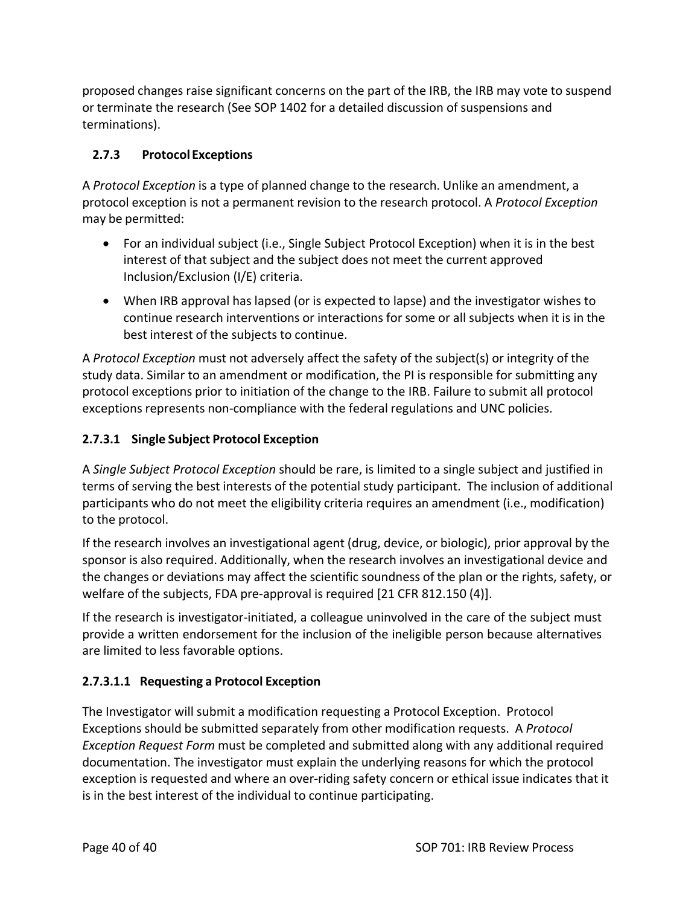proposed changes raise significant concerns on the part of the IRB, the IRB may vote to suspend or terminate the research (See SOP 1402 for a detailed discussion of suspensions and terminations).

## **2.7.3 Protocol Exceptions**

A *Protocol Exception* is a type of planned change to the research. Unlike an amendment, a protocol exception is not a permanent revision to the research protocol. A *Protocol Exception* may be permitted:

- For an individual subject (i.e., Single Subject Protocol Exception) when it is in the best interest of that subject and the subject does not meet the current approved Inclusion/Exclusion (I/E) criteria.
- When IRB approval has lapsed (or is expected to lapse) and the investigator wishes to continue research interventions or interactions for some or all subjects when it is in the best interest of the subjects to continue.

A *Protocol Exception* must not adversely affect the safety of the subject(s) or integrity of the study data. Similar to an amendment or modification, the PI is responsible for submitting any protocol exceptions prior to initiation of the change to the IRB. Failure to submit all protocol exceptions represents non‐compliance with the federal regulations and UNC policies.

## **2.7.3.1 Single Subject Protocol Exception**

A *Single Subject Protocol Exception* should be rare, is limited to a single subject and justified in terms of serving the best interests of the potential study participant. The inclusion of additional participants who do not meet the eligibility criteria requires an amendment (i.e., modification) to the protocol.

If the research involves an investigational agent (drug, device, or biologic), prior approval by the sponsor is also required. Additionally, when the research involves an investigational device and the changes or deviations may affect the scientific soundness of the plan or the rights, safety, or welfare of the subjects, FDA pre‐approval is required [21 CFR 812.150 (4)].

If the research is investigator‐initiated, a colleague uninvolved in the care of the subject must provide a written endorsement for the inclusion of the ineligible person because alternatives are limited to less favorable options.

## **2.7.3.1.1 Requesting a Protocol Exception**

The Investigator will submit a modification requesting a Protocol Exception. Protocol Exceptions should be submitted separately from other modification requests. A *Protocol Exception Request Form* must be completed and submitted along with any additional required documentation. The investigator must explain the underlying reasons for which the protocol exception is requested and where an over-riding safety concern or ethical issue indicates that it is in the best interest of the individual to continue participating.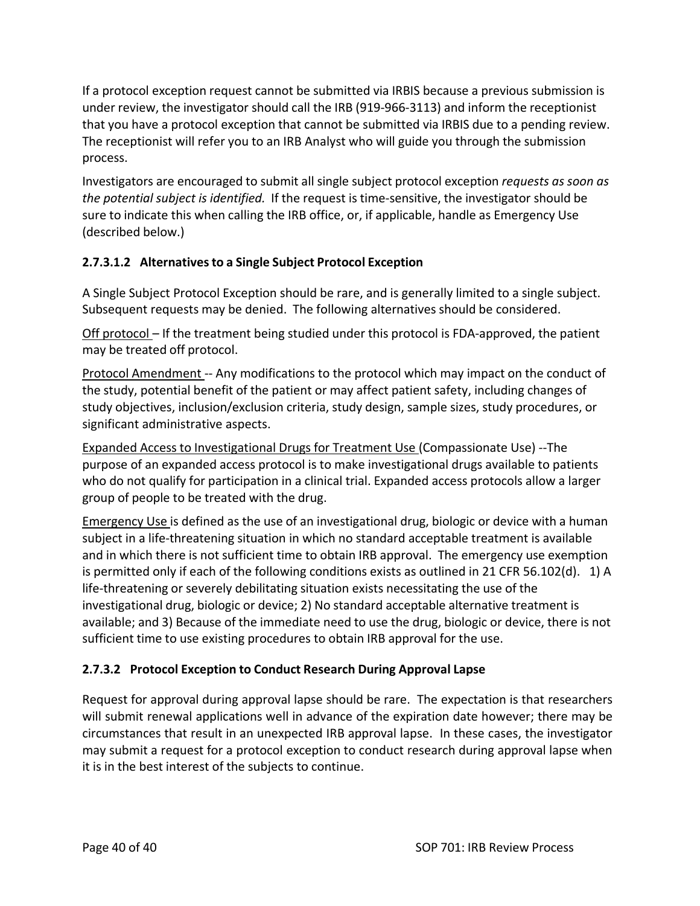If a protocol exception request cannot be submitted via IRBIS because a previous submission is under review, the investigator should call the IRB (919-966-3113) and inform the receptionist that you have a protocol exception that cannot be submitted via IRBIS due to a pending review. The receptionist will refer you to an IRB Analyst who will guide you through the submission process.

Investigators are encouraged to submit all single subject protocol exception *requests as soon as the potential subject is identified.* If the request is time‐sensitive, the investigator should be sure to indicate this when calling the IRB office, or, if applicable, handle as Emergency Use (described below.)

## **2.7.3.1.2 Alternativesto a Single Subject Protocol Exception**

A Single Subject Protocol Exception should be rare, and is generally limited to a single subject. Subsequent requests may be denied. The following alternatives should be considered.

Off protocol – If the treatment being studied under this protocol is FDA-approved, the patient may be treated off protocol.

Protocol Amendment ‐‐ Any modifications to the protocol which may impact on the conduct of the study, potential benefit of the patient or may affect patient safety, including changes of study objectives, inclusion/exclusion criteria, study design, sample sizes, study procedures, or significant administrative aspects.

Expanded Access to Investigational Drugs for Treatment Use (Compassionate Use) ‐‐The purpose of an expanded access protocol is to make investigational drugs available to patients who do not qualify for participation in a clinical trial. Expanded access protocols allow a larger group of people to be treated with the drug.

Emergency Use is defined as the use of an investigational drug, biologic or device with a human subject in a life-threatening situation in which no standard acceptable treatment is available and in which there is not sufficient time to obtain IRB approval. The emergency use exemption is permitted only if each of the following conditions exists as outlined in 21 CFR 56.102(d). 1) A life‐threatening or severely debilitating situation exists necessitating the use of the investigational drug, biologic or device; 2) No standard acceptable alternative treatment is available; and 3) Because of the immediate need to use the drug, biologic or device, there is not sufficient time to use existing procedures to obtain IRB approval for the use.

## **2.7.3.2 Protocol Exception to Conduct Research During Approval Lapse**

Request for approval during approval lapse should be rare. The expectation is that researchers will submit renewal applications well in advance of the expiration date however; there may be circumstances that result in an unexpected IRB approval lapse. In these cases, the investigator may submit a request for a protocol exception to conduct research during approval lapse when it is in the best interest of the subjects to continue.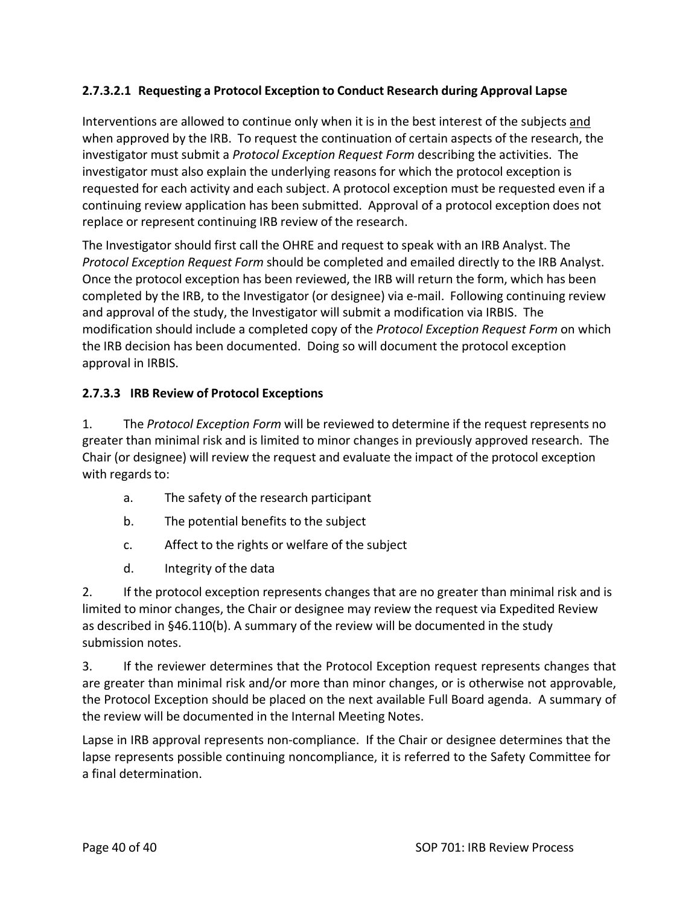#### **2.7.3.2.1 Requesting a Protocol Exception to Conduct Research during Approval Lapse**

Interventions are allowed to continue only when it is in the best interest of the subjects and when approved by the IRB. To request the continuation of certain aspects of the research, the investigator must submit a *Protocol Exception Request Form* describing the activities. The investigator must also explain the underlying reasons for which the protocol exception is requested for each activity and each subject. A protocol exception must be requested even if a continuing review application has been submitted. Approval of a protocol exception does not replace or represent continuing IRB review of the research.

The Investigator should first call the OHRE and request to speak with an IRB Analyst. The *Protocol Exception Request Form* should be completed and emailed directly to the IRB Analyst. Once the protocol exception has been reviewed, the IRB will return the form, which has been completed by the IRB, to the Investigator (or designee) via e‐mail. Following continuing review and approval of the study, the Investigator will submit a modification via IRBIS. The modification should include a completed copy of the *Protocol Exception Request Form* on which the IRB decision has been documented. Doing so will document the protocol exception approval in IRBIS.

#### **2.7.3.3 IRB Review of Protocol Exceptions**

1. The *Protocol Exception Form* will be reviewed to determine if the request represents no greater than minimal risk and is limited to minor changes in previously approved research. The Chair (or designee) will review the request and evaluate the impact of the protocol exception with regards to:

- a. The safety of the research participant
- b. The potential benefits to the subject
- c. Affect to the rights or welfare of the subject
- d. Integrity of the data

2. If the protocol exception represents changes that are no greater than minimal risk and is limited to minor changes, the Chair or designee may review the request via Expedited Review as described in §46.110(b). A summary of the review will be documented in the study submission notes.

3. If the reviewer determines that the Protocol Exception request represents changes that are greater than minimal risk and/or more than minor changes, or is otherwise not approvable, the Protocol Exception should be placed on the next available Full Board agenda. A summary of the review will be documented in the Internal Meeting Notes.

Lapse in IRB approval represents non‐compliance. If the Chair or designee determines that the lapse represents possible continuing noncompliance, it is referred to the Safety Committee for a final determination.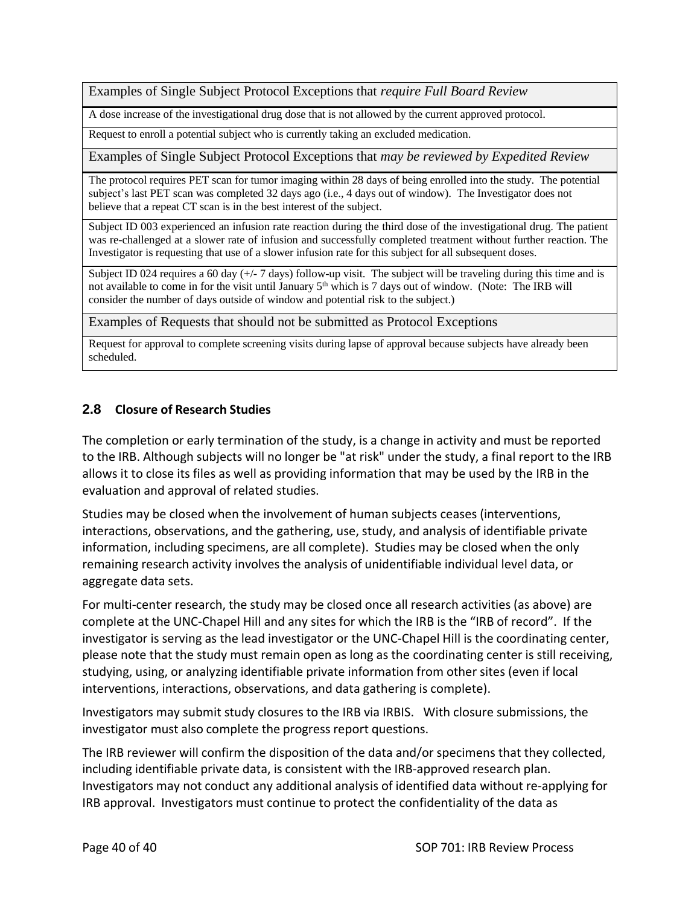Examples of Single Subject Protocol Exceptions that *require Full Board Review*

A dose increase of the investigational drug dose that is not allowed by the current approved protocol.

Request to enroll a potential subject who is currently taking an excluded medication.

Examples of Single Subject Protocol Exceptions that *may be reviewed by Expedited Review*

The protocol requires PET scan for tumor imaging within 28 days of being enrolled into the study. The potential subject's last PET scan was completed 32 days ago (i.e., 4 days out of window). The Investigator does not believe that a repeat CT scan is in the best interest of the subject.

Subject ID 003 experienced an infusion rate reaction during the third dose of the investigational drug. The patient was re-challenged at a slower rate of infusion and successfully completed treatment without further reaction. The Investigator is requesting that use of a slower infusion rate for this subject for all subsequent doses.

Subject ID 024 requires a 60 day  $(+/- 7$  days) follow-up visit. The subject will be traveling during this time and is not available to come in for the visit until January 5<sup>th</sup> which is 7 days out of window. (Note: The IRB will consider the number of days outside of window and potential risk to the subject.)

Examples of Requests that should not be submitted as Protocol Exceptions

Request for approval to complete screening visits during lapse of approval because subjects have already been scheduled.

#### **2.8 Closure of Research Studies**

The completion or early termination of the study, is a change in activity and must be reported to the IRB. Although subjects will no longer be "at risk" under the study, a final report to the IRB allows it to close its files as well as providing information that may be used by the IRB in the evaluation and approval of related studies.

Studies may be closed when the involvement of human subjects ceases (interventions, interactions, observations, and the gathering, use, study, and analysis of identifiable private information, including specimens, are all complete). Studies may be closed when the only remaining research activity involves the analysis of unidentifiable individual level data, or aggregate data sets.

For multi-center research, the study may be closed once all research activities (as above) are complete at the UNC‐Chapel Hill and any sites for which the IRB is the "IRB of record". If the investigator is serving as the lead investigator or the UNC‐Chapel Hill is the coordinating center, please note that the study must remain open as long as the coordinating center is still receiving, studying, using, or analyzing identifiable private information from other sites (even if local interventions, interactions, observations, and data gathering is complete).

Investigators may submit study closures to the IRB via IRBIS. With closure submissions, the investigator must also complete the progress report questions.

The IRB reviewer will confirm the disposition of the data and/or specimens that they collected, including identifiable private data, is consistent with the IRB‐approved research plan. Investigators may not conduct any additional analysis of identified data without re‐applying for IRB approval. Investigators must continue to protect the confidentiality of the data as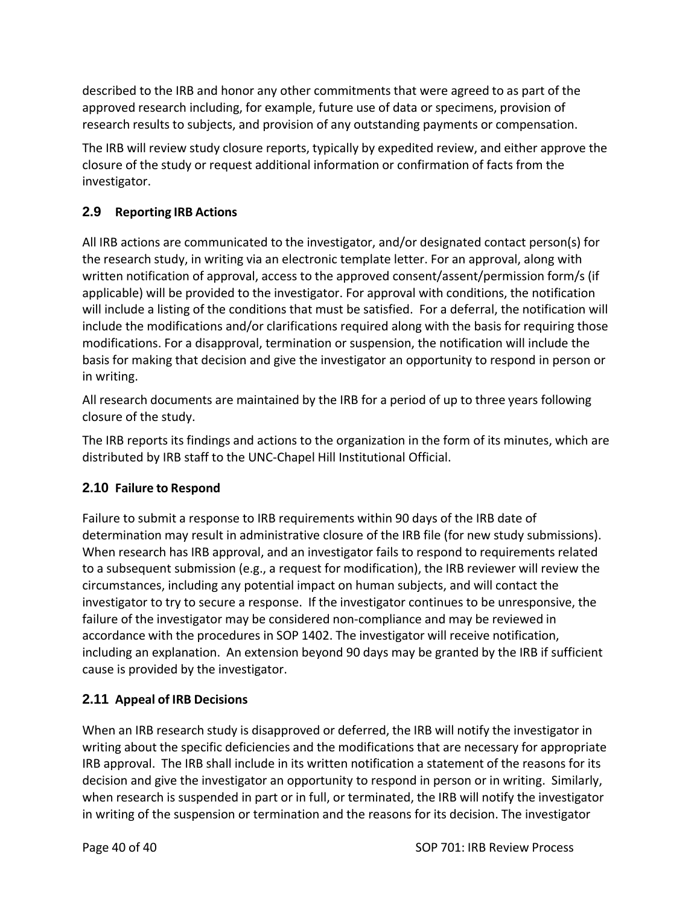described to the IRB and honor any other commitments that were agreed to as part of the approved research including, for example, future use of data or specimens, provision of research results to subjects, and provision of any outstanding payments or compensation.

The IRB will review study closure reports, typically by expedited review, and either approve the closure of the study or request additional information or confirmation of facts from the investigator.

## **2.9 Reporting IRB Actions**

All IRB actions are communicated to the investigator, and/or designated contact person(s) for the research study, in writing via an electronic template letter. For an approval, along with written notification of approval, access to the approved consent/assent/permission form/s (if applicable) will be provided to the investigator. For approval with conditions, the notification will include a listing of the conditions that must be satisfied. For a deferral, the notification will include the modifications and/or clarifications required along with the basis for requiring those modifications. For a disapproval, termination or suspension, the notification will include the basis for making that decision and give the investigator an opportunity to respond in person or in writing.

All research documents are maintained by the IRB for a period of up to three years following closure of the study.

The IRB reports its findings and actions to the organization in the form of its minutes, which are distributed by IRB staff to the UNC‐Chapel Hill Institutional Official.

## **2.10 Failure to Respond**

Failure to submit a response to IRB requirements within 90 days of the IRB date of determination may result in administrative closure of the IRB file (for new study submissions). When research has IRB approval, and an investigator fails to respond to requirements related to a subsequent submission (e.g., a request for modification), the IRB reviewer will review the circumstances, including any potential impact on human subjects, and will contact the investigator to try to secure a response. If the investigator continues to be unresponsive, the failure of the investigator may be considered non‐compliance and may be reviewed in accordance with the procedures in SOP 1402. The investigator will receive notification, including an explanation. An extension beyond 90 days may be granted by the IRB if sufficient cause is provided by the investigator.

## **2.11 Appeal of IRB Decisions**

When an IRB research study is disapproved or deferred, the IRB will notify the investigator in writing about the specific deficiencies and the modifications that are necessary for appropriate IRB approval. The IRB shall include in its written notification a statement of the reasons for its decision and give the investigator an opportunity to respond in person or in writing. Similarly, when research is suspended in part or in full, or terminated, the IRB will notify the investigator in writing of the suspension or termination and the reasons for its decision. The investigator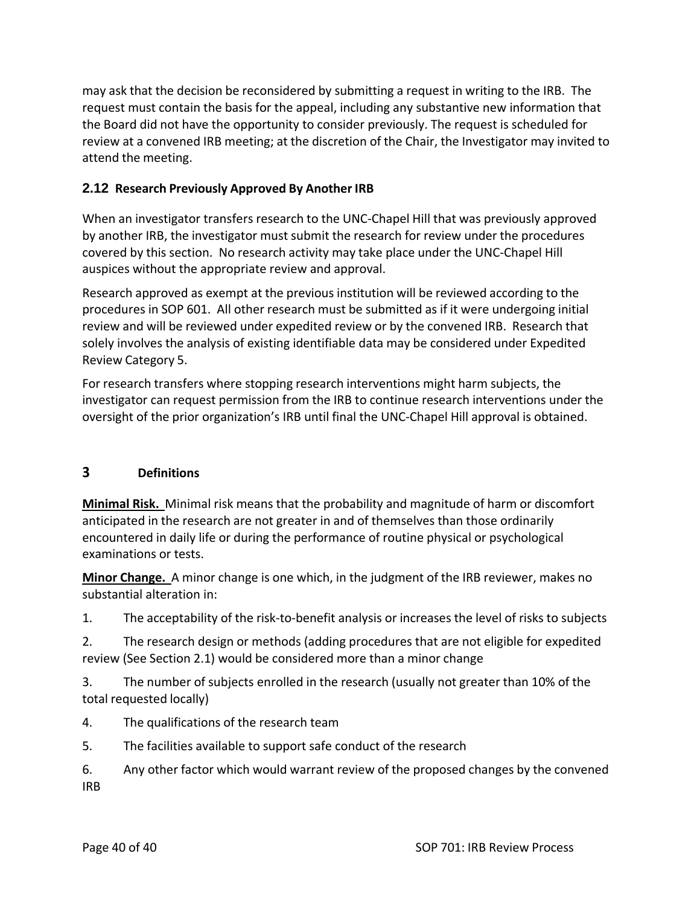may ask that the decision be reconsidered by submitting a request in writing to the IRB. The request must contain the basis for the appeal, including any substantive new information that the Board did not have the opportunity to consider previously. The request is scheduled for review at a convened IRB meeting; at the discretion of the Chair, the Investigator may invited to attend the meeting.

## **2.12 Research Previously Approved By Another IRB**

When an investigator transfers research to the UNC‐Chapel Hill that was previously approved by another IRB, the investigator must submit the research for review under the procedures covered by this section. No research activity may take place under the UNC‐Chapel Hill auspices without the appropriate review and approval.

Research approved as exempt at the previous institution will be reviewed according to the procedures in SOP 601. All other research must be submitted as if it were undergoing initial review and will be reviewed under expedited review or by the convened IRB. Research that solely involves the analysis of existing identifiable data may be considered under Expedited Review Category 5.

For research transfers where stopping research interventions might harm subjects, the investigator can request permission from the IRB to continue research interventions under the oversight of the prior organization's IRB until final the UNC‐Chapel Hill approval is obtained.

## **3 Definitions**

**Minimal Risk.** Minimal risk means that the probability and magnitude of harm or discomfort anticipated in the research are not greater in and of themselves than those ordinarily encountered in daily life or during the performance of routine physical or psychological examinations or tests.

**Minor Change.** A minor change is one which, in the judgment of the IRB reviewer, makes no substantial alteration in:

1. The acceptability of the risk‐to‐benefit analysis or increases the level of risks to subjects

2. The research design or methods (adding procedures that are not eligible for expedited review (See Section 2.1) would be considered more than a minor change

3. The number of subjects enrolled in the research (usually not greater than 10% of the total requested locally)

- 4. The qualifications of the research team
- 5. The facilities available to support safe conduct of the research

6. Any other factor which would warrant review of the proposed changes by the convened IRB